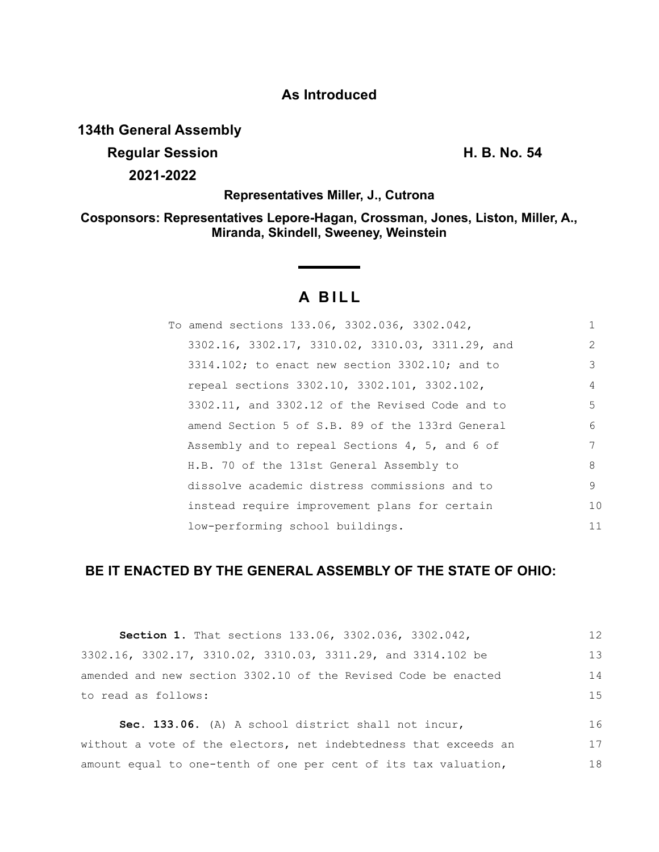# **As Introduced**

**134th General Assembly**

**Regular Session H. B. No. 54 2021-2022**

**Representatives Miller, J., Cutrona**

**Cosponsors: Representatives Lepore-Hagan, Crossman, Jones, Liston, Miller, A., Miranda, Skindell, Sweeney, Weinstein**

# **A B I L L**

**Service State** 

| To amend sections 133.06, 3302.036, 3302.042,        | $\mathbf{1}$  |
|------------------------------------------------------|---------------|
| 3302.16, 3302.17, 3310.02, 3310.03, 3311.29, and     | $\mathcal{L}$ |
| $3314.102$ ; to enact new section $3302.10$ ; and to | 3             |
| repeal sections 3302.10, 3302.101, 3302.102,         | 4             |
| 3302.11, and 3302.12 of the Revised Code and to      | .5            |
| amend Section 5 of S.B. 89 of the 133rd General      | 6             |
| Assembly and to repeal Sections 4, 5, and 6 of       | 7             |
| H.B. 70 of the 131st General Assembly to             | 8             |
| dissolve academic distress commissions and to        | 9             |
| instead require improvement plans for certain        | 10            |
| low-performing school buildings.                     | 11            |

# **BE IT ENACTED BY THE GENERAL ASSEMBLY OF THE STATE OF OHIO:**

| <b>Section 1.</b> That sections 133.06, 3302.036, 3302.042,      | 12 |
|------------------------------------------------------------------|----|
| 3302.16, 3302.17, 3310.02, 3310.03, 3311.29, and 3314.102 be     | 13 |
| amended and new section 3302.10 of the Revised Code be enacted   | 14 |
| to read as follows:                                              | 15 |
| Sec. 133.06. (A) A school district shall not incur,              | 16 |
| without a vote of the electors, net indebtedness that exceeds an | 17 |
| amount equal to one-tenth of one per cent of its tax valuation,  | 18 |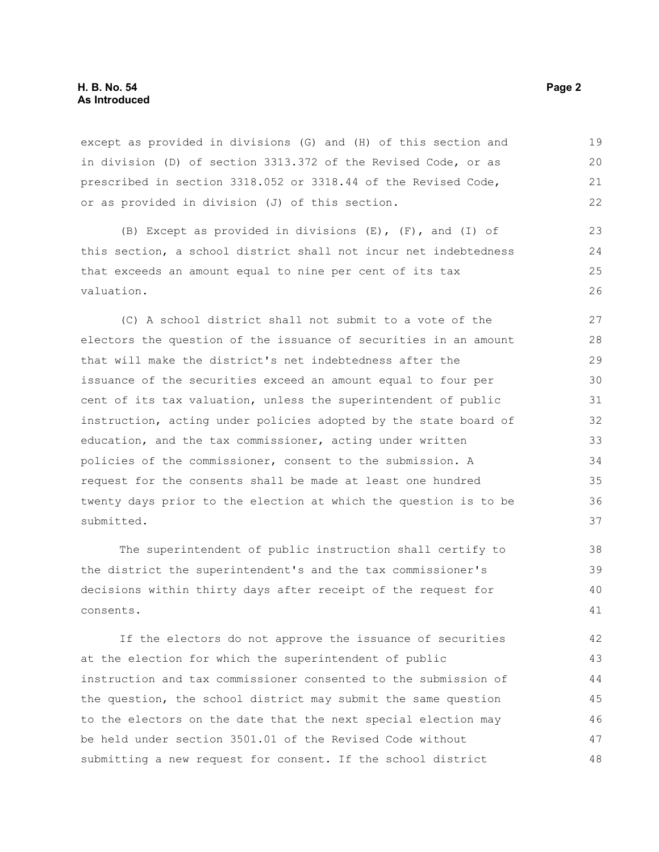# **H. B. No. 54 Page 2 As Introduced**

except as provided in divisions (G) and (H) of this section and in division (D) of section 3313.372 of the Revised Code, or as prescribed in section 3318.052 or 3318.44 of the Revised Code, or as provided in division (J) of this section. 19 20 21 22

(B) Except as provided in divisions (E), (F), and (I) of this section, a school district shall not incur net indebtedness that exceeds an amount equal to nine per cent of its tax valuation.

(C) A school district shall not submit to a vote of the electors the question of the issuance of securities in an amount that will make the district's net indebtedness after the issuance of the securities exceed an amount equal to four per cent of its tax valuation, unless the superintendent of public instruction, acting under policies adopted by the state board of education, and the tax commissioner, acting under written policies of the commissioner, consent to the submission. A request for the consents shall be made at least one hundred twenty days prior to the election at which the question is to be submitted.

The superintendent of public instruction shall certify to the district the superintendent's and the tax commissioner's decisions within thirty days after receipt of the request for consents.

If the electors do not approve the issuance of securities at the election for which the superintendent of public instruction and tax commissioner consented to the submission of the question, the school district may submit the same question to the electors on the date that the next special election may be held under section 3501.01 of the Revised Code without submitting a new request for consent. If the school district 42 43 44 45 46 47 48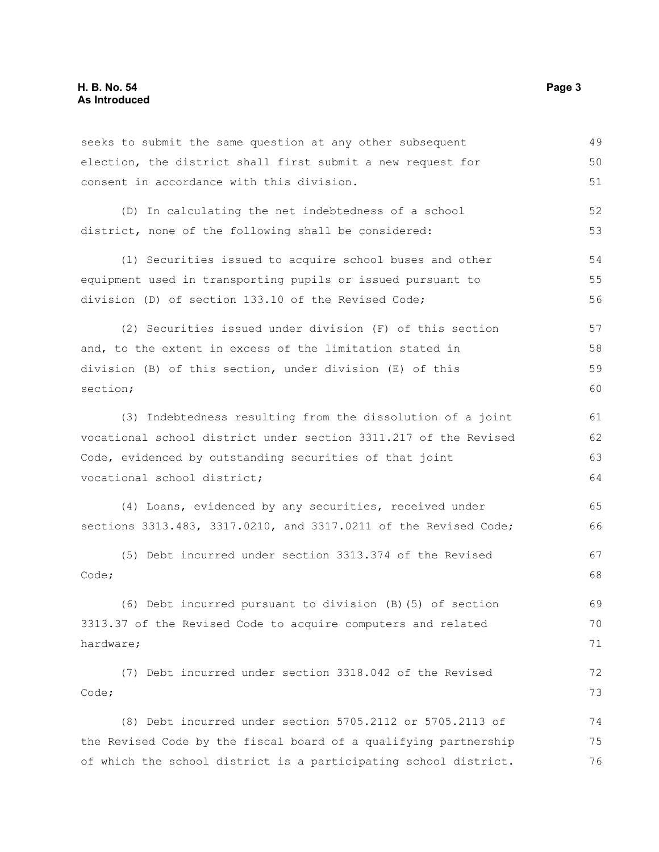hardware;

seeks to submit the same question at any other subsequent election, the district shall first submit a new request for consent in accordance with this division. (D) In calculating the net indebtedness of a school district, none of the following shall be considered: (1) Securities issued to acquire school buses and other equipment used in transporting pupils or issued pursuant to division (D) of section 133.10 of the Revised Code; (2) Securities issued under division (F) of this section and, to the extent in excess of the limitation stated in division (B) of this section, under division (E) of this section; (3) Indebtedness resulting from the dissolution of a joint vocational school district under section 3311.217 of the Revised Code, evidenced by outstanding securities of that joint vocational school district; (4) Loans, evidenced by any securities, received under sections 3313.483, 3317.0210, and 3317.0211 of the Revised Code; (5) Debt incurred under section 3313.374 of the Revised Code; (6) Debt incurred pursuant to division (B)(5) of section 3313.37 of the Revised Code to acquire computers and related 49 50 51 52 53 54 55 56 57 58 59 60 61 62 63 64 65 66 67 68 69 70

(7) Debt incurred under section 3318.042 of the Revised Code; 72 73

(8) Debt incurred under section 5705.2112 or 5705.2113 of the Revised Code by the fiscal board of a qualifying partnership of which the school district is a participating school district. 74 75 76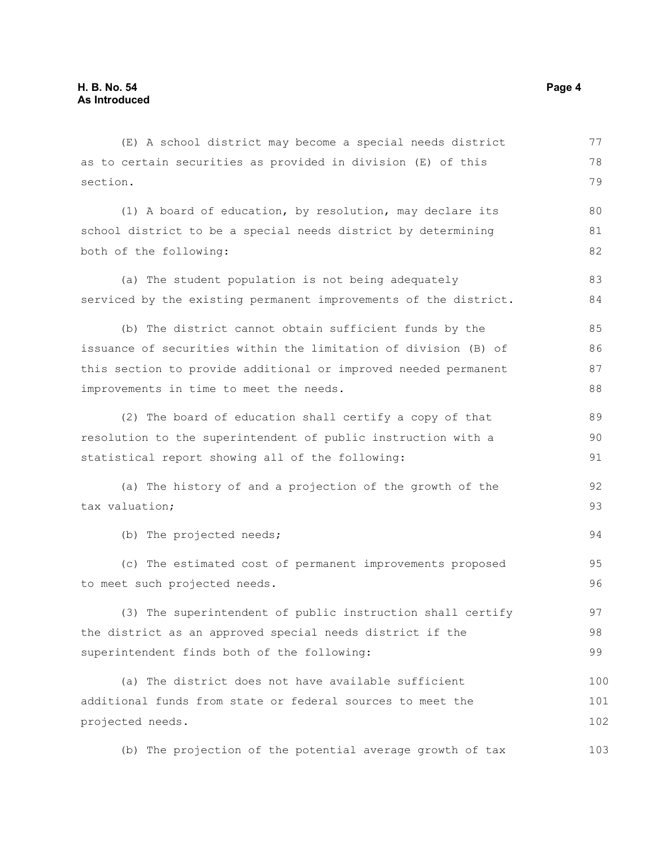| (E) A school district may become a special needs district        | 77  |
|------------------------------------------------------------------|-----|
| as to certain securities as provided in division (E) of this     | 78  |
| section.                                                         | 79  |
| (1) A board of education, by resolution, may declare its         | 80  |
| school district to be a special needs district by determining    | 81  |
| both of the following:                                           | 82  |
| (a) The student population is not being adequately               | 83  |
| serviced by the existing permanent improvements of the district. | 84  |
| (b) The district cannot obtain sufficient funds by the           | 85  |
| issuance of securities within the limitation of division (B) of  | 86  |
| this section to provide additional or improved needed permanent  | 87  |
| improvements in time to meet the needs.                          | 88  |
| (2) The board of education shall certify a copy of that          | 89  |
| resolution to the superintendent of public instruction with a    | 90  |
| statistical report showing all of the following:                 | 91  |
| (a) The history of and a projection of the growth of the         | 92  |
| tax valuation;                                                   | 93  |
| (b) The projected needs;                                         | 94  |
| (c) The estimated cost of permanent improvements proposed        | 95  |
| to meet such projected needs.                                    | 96  |
| (3) The superintendent of public instruction shall certify       | 97  |
| the district as an approved special needs district if the        | 98  |
| superintendent finds both of the following:                      | 99  |
| (a) The district does not have available sufficient              | 100 |
| additional funds from state or federal sources to meet the       | 101 |
| projected needs.                                                 | 102 |
| (b) The projection of the potential average growth of tax        | 103 |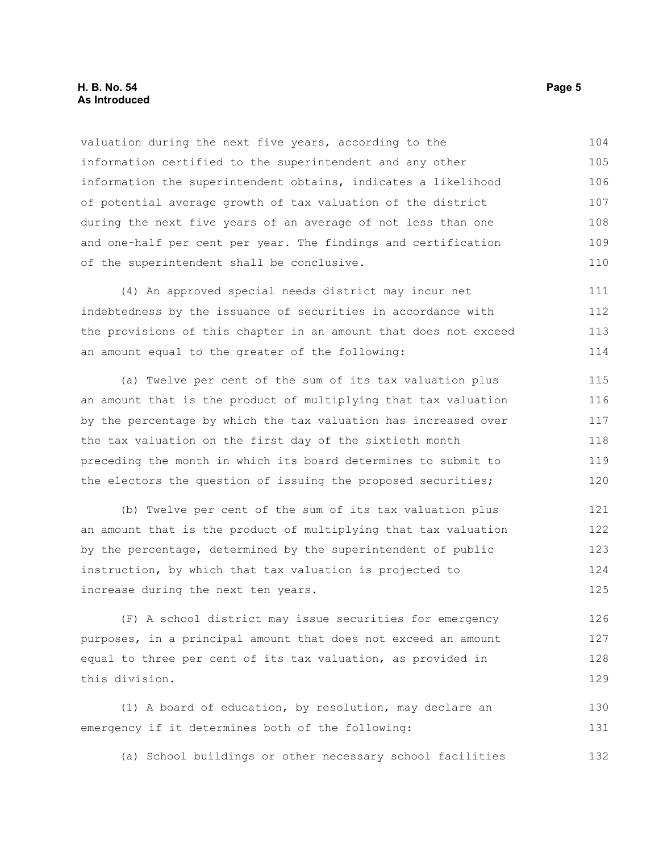# **H. B. No. 54 Page 5 As Introduced**

valuation during the next five years, according to the information certified to the superintendent and any other information the superintendent obtains, indicates a likelihood of potential average growth of tax valuation of the district during the next five years of an average of not less than one and one-half per cent per year. The findings and certification of the superintendent shall be conclusive. 104 105 106 107 108 109 110

(4) An approved special needs district may incur net indebtedness by the issuance of securities in accordance with the provisions of this chapter in an amount that does not exceed an amount equal to the greater of the following: 111 112 113 114

(a) Twelve per cent of the sum of its tax valuation plus an amount that is the product of multiplying that tax valuation by the percentage by which the tax valuation has increased over the tax valuation on the first day of the sixtieth month preceding the month in which its board determines to submit to the electors the question of issuing the proposed securities; 115 116 117 118 119 120

(b) Twelve per cent of the sum of its tax valuation plus an amount that is the product of multiplying that tax valuation by the percentage, determined by the superintendent of public instruction, by which that tax valuation is projected to increase during the next ten years. 121 122 123 124 125

(F) A school district may issue securities for emergency purposes, in a principal amount that does not exceed an amount equal to three per cent of its tax valuation, as provided in this division. 126 127 128 129

(1) A board of education, by resolution, may declare an emergency if it determines both of the following: 130 131

(a) School buildings or other necessary school facilities 132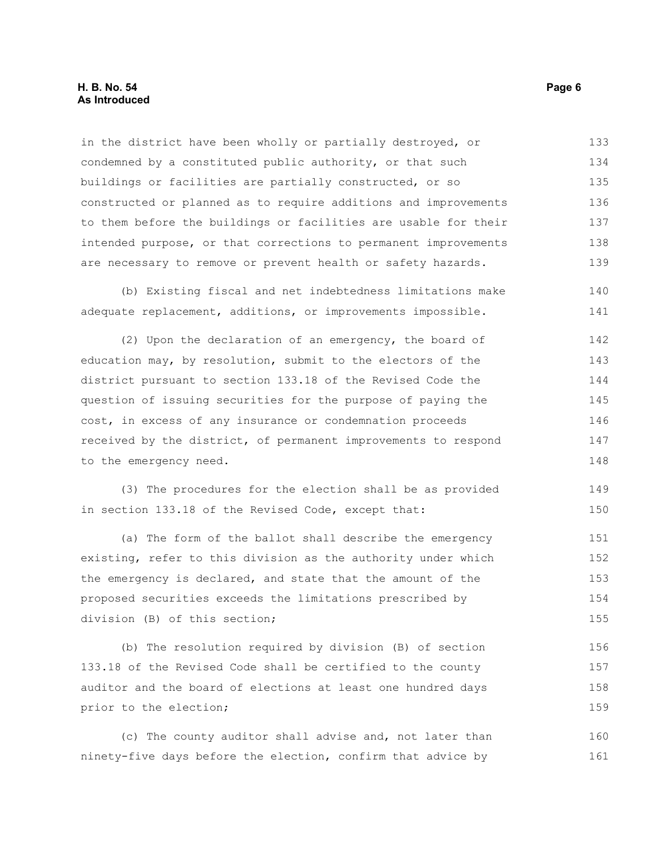# **H. B. No. 54 Page 6 As Introduced**

in the district have been wholly or partially destroyed, or condemned by a constituted public authority, or that such buildings or facilities are partially constructed, or so constructed or planned as to require additions and improvements to them before the buildings or facilities are usable for their intended purpose, or that corrections to permanent improvements are necessary to remove or prevent health or safety hazards. 133 134 135 136 137 138 139

(b) Existing fiscal and net indebtedness limitations make adequate replacement, additions, or improvements impossible. 140 141

(2) Upon the declaration of an emergency, the board of education may, by resolution, submit to the electors of the district pursuant to section 133.18 of the Revised Code the question of issuing securities for the purpose of paying the cost, in excess of any insurance or condemnation proceeds received by the district, of permanent improvements to respond to the emergency need. 142 143 144 145 146 147 148

(3) The procedures for the election shall be as provided in section 133.18 of the Revised Code, except that: 149 150

(a) The form of the ballot shall describe the emergency existing, refer to this division as the authority under which the emergency is declared, and state that the amount of the proposed securities exceeds the limitations prescribed by division (B) of this section; 151 152 153 154 155

(b) The resolution required by division (B) of section 133.18 of the Revised Code shall be certified to the county auditor and the board of elections at least one hundred days prior to the election; 156 157 158 159

(c) The county auditor shall advise and, not later than ninety-five days before the election, confirm that advice by 160 161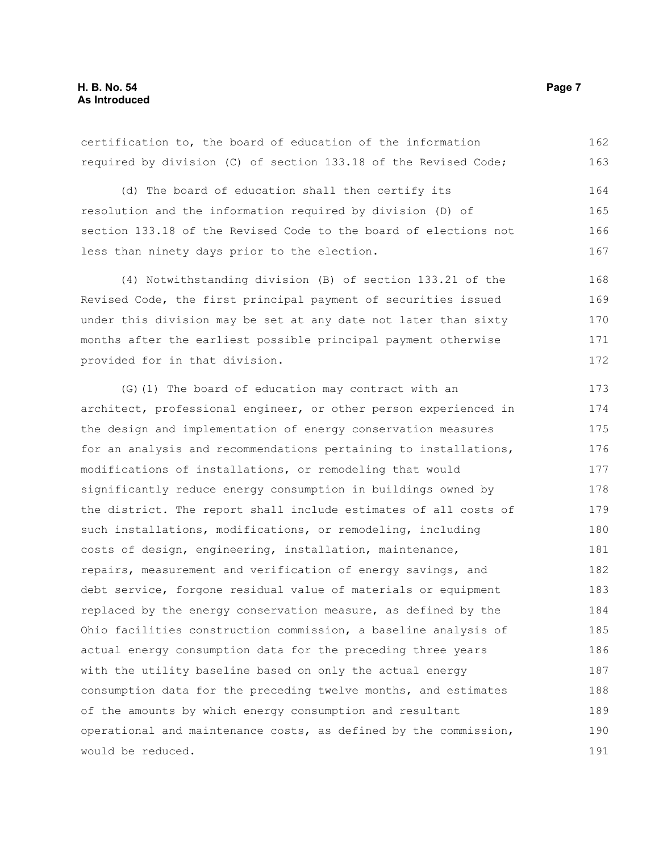certification to, the board of education of the information required by division (C) of section 133.18 of the Revised Code; 162 163

(d) The board of education shall then certify its resolution and the information required by division (D) of section 133.18 of the Revised Code to the board of elections not less than ninety days prior to the election. 164 165 166 167

(4) Notwithstanding division (B) of section 133.21 of the Revised Code, the first principal payment of securities issued under this division may be set at any date not later than sixty months after the earliest possible principal payment otherwise provided for in that division. 168 169 170 171 172

(G)(1) The board of education may contract with an architect, professional engineer, or other person experienced in the design and implementation of energy conservation measures for an analysis and recommendations pertaining to installations, modifications of installations, or remodeling that would significantly reduce energy consumption in buildings owned by the district. The report shall include estimates of all costs of such installations, modifications, or remodeling, including costs of design, engineering, installation, maintenance, repairs, measurement and verification of energy savings, and debt service, forgone residual value of materials or equipment replaced by the energy conservation measure, as defined by the Ohio facilities construction commission, a baseline analysis of actual energy consumption data for the preceding three years with the utility baseline based on only the actual energy consumption data for the preceding twelve months, and estimates of the amounts by which energy consumption and resultant operational and maintenance costs, as defined by the commission, would be reduced. 173 174 175 176 177 178 179 180 181 182 183 184 185 186 187 188 189 190 191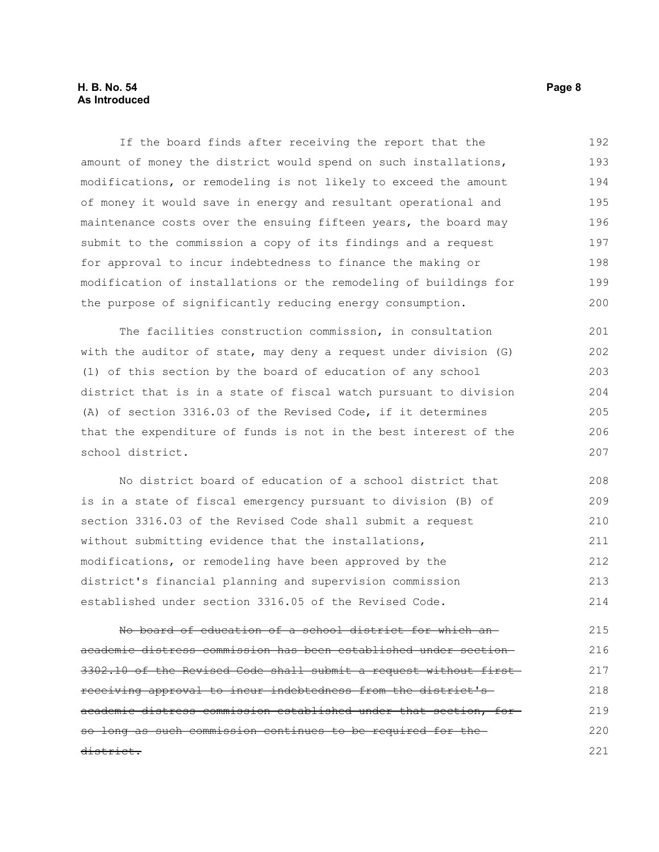# **H. B. No. 54 Page 8 As Introduced**

If the board finds after receiving the report that the amount of money the district would spend on such installations, modifications, or remodeling is not likely to exceed the amount of money it would save in energy and resultant operational and maintenance costs over the ensuing fifteen years, the board may submit to the commission a copy of its findings and a request for approval to incur indebtedness to finance the making or modification of installations or the remodeling of buildings for the purpose of significantly reducing energy consumption. 192 193 194 195 196 197 198 199 200

The facilities construction commission, in consultation with the auditor of state, may deny a request under division (G) (1) of this section by the board of education of any school district that is in a state of fiscal watch pursuant to division (A) of section 3316.03 of the Revised Code, if it determines that the expenditure of funds is not in the best interest of the school district. 201 202 203 204 205 206 207

No district board of education of a school district that is in a state of fiscal emergency pursuant to division (B) of section 3316.03 of the Revised Code shall submit a request without submitting evidence that the installations, modifications, or remodeling have been approved by the district's financial planning and supervision commission established under section 3316.05 of the Revised Code. 208 209 210 211 212 213 214

No board of education of a school district for which an academic distress commission has been established under section 3302.10 of the Revised Code shall submit a request without first receiving approval to incur indebtedness from the district's academic distress commission established under that section, for so long as such commission continues to be required for the district. 215 216 217 218 219 220 221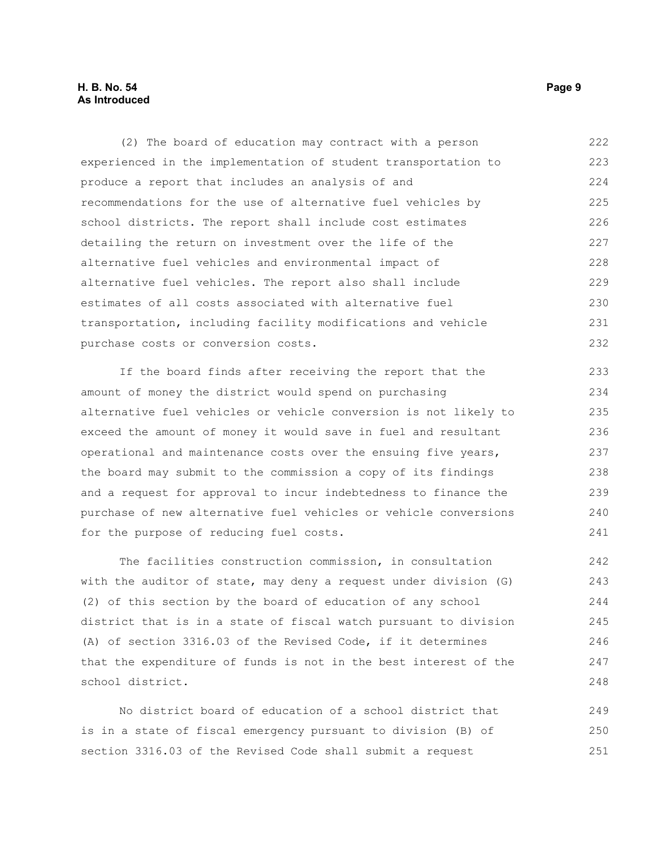# **H. B. No. 54 Page 9 As Introduced**

(2) The board of education may contract with a person experienced in the implementation of student transportation to produce a report that includes an analysis of and recommendations for the use of alternative fuel vehicles by school districts. The report shall include cost estimates detailing the return on investment over the life of the alternative fuel vehicles and environmental impact of alternative fuel vehicles. The report also shall include estimates of all costs associated with alternative fuel transportation, including facility modifications and vehicle purchase costs or conversion costs. 222 223 224 225 226 227 228 229 230 231 232

If the board finds after receiving the report that the amount of money the district would spend on purchasing alternative fuel vehicles or vehicle conversion is not likely to exceed the amount of money it would save in fuel and resultant operational and maintenance costs over the ensuing five years, the board may submit to the commission a copy of its findings and a request for approval to incur indebtedness to finance the purchase of new alternative fuel vehicles or vehicle conversions for the purpose of reducing fuel costs.

The facilities construction commission, in consultation with the auditor of state, may deny a request under division (G) (2) of this section by the board of education of any school district that is in a state of fiscal watch pursuant to division (A) of section 3316.03 of the Revised Code, if it determines that the expenditure of funds is not in the best interest of the school district.

No district board of education of a school district that is in a state of fiscal emergency pursuant to division (B) of section 3316.03 of the Revised Code shall submit a request 249 250 251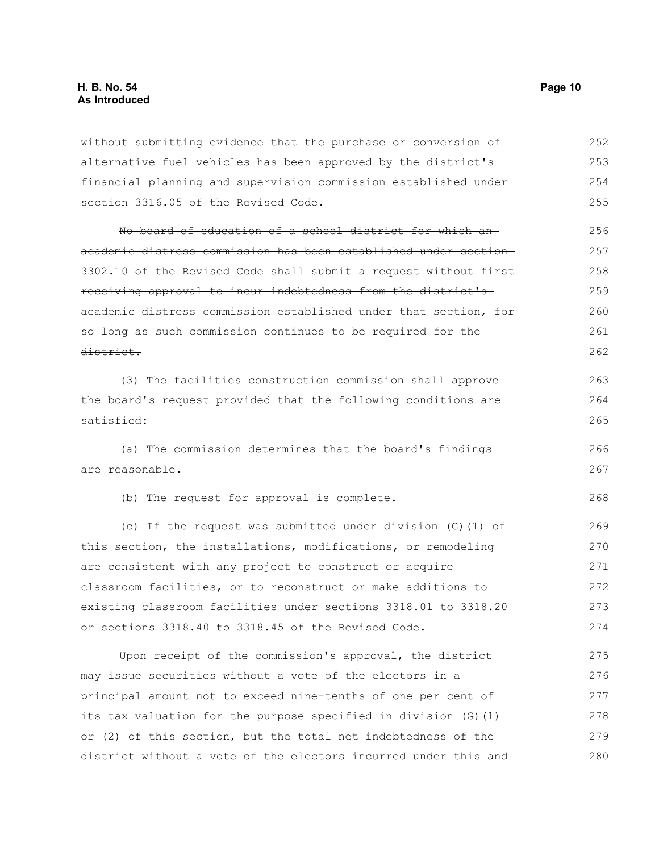without submitting evidence that the purchase or conversion of alternative fuel vehicles has been approved by the district's financial planning and supervision commission established under section 3316.05 of the Revised Code. 252 253 254 255

No board of education of a school district for which an academic distress commission has been established under section 3302.10 of the Revised Code shall submit a request without first receiving approval to incur indebtedness from the district's academic distress commission established under that section, for so long as such commission continues to be required for the district. 256 257 258 259 260 261 262

(3) The facilities construction commission shall approve the board's request provided that the following conditions are satisfied: 263 264 265

(a) The commission determines that the board's findings are reasonable. 266 267

(b) The request for approval is complete.

(c) If the request was submitted under division (G)(1) of this section, the installations, modifications, or remodeling are consistent with any project to construct or acquire classroom facilities, or to reconstruct or make additions to existing classroom facilities under sections 3318.01 to 3318.20 or sections 3318.40 to 3318.45 of the Revised Code. 269 270 271 272 273 274

Upon receipt of the commission's approval, the district may issue securities without a vote of the electors in a principal amount not to exceed nine-tenths of one per cent of its tax valuation for the purpose specified in division (G)(1) or (2) of this section, but the total net indebtedness of the district without a vote of the electors incurred under this and 275 276 277 278 279 280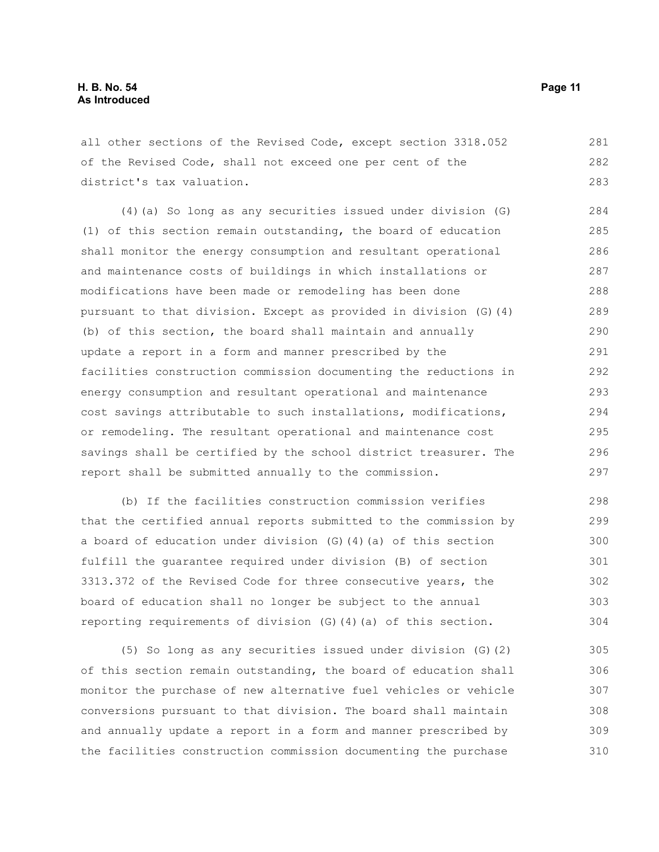all other sections of the Revised Code, except section 3318.052 of the Revised Code, shall not exceed one per cent of the district's tax valuation. 281 282 283

(4)(a) So long as any securities issued under division (G) (1) of this section remain outstanding, the board of education shall monitor the energy consumption and resultant operational and maintenance costs of buildings in which installations or modifications have been made or remodeling has been done pursuant to that division. Except as provided in division (G)(4) (b) of this section, the board shall maintain and annually update a report in a form and manner prescribed by the facilities construction commission documenting the reductions in energy consumption and resultant operational and maintenance cost savings attributable to such installations, modifications, or remodeling. The resultant operational and maintenance cost savings shall be certified by the school district treasurer. The report shall be submitted annually to the commission. 284 285 286 287 288 289 290 291 292 293 294 295 296 297

(b) If the facilities construction commission verifies that the certified annual reports submitted to the commission by a board of education under division (G)(4)(a) of this section fulfill the guarantee required under division (B) of section 3313.372 of the Revised Code for three consecutive years, the board of education shall no longer be subject to the annual reporting requirements of division (G)(4)(a) of this section. 298 299 300 301 302 303 304

(5) So long as any securities issued under division (G)(2) of this section remain outstanding, the board of education shall monitor the purchase of new alternative fuel vehicles or vehicle conversions pursuant to that division. The board shall maintain and annually update a report in a form and manner prescribed by the facilities construction commission documenting the purchase 305 306 307 308 309 310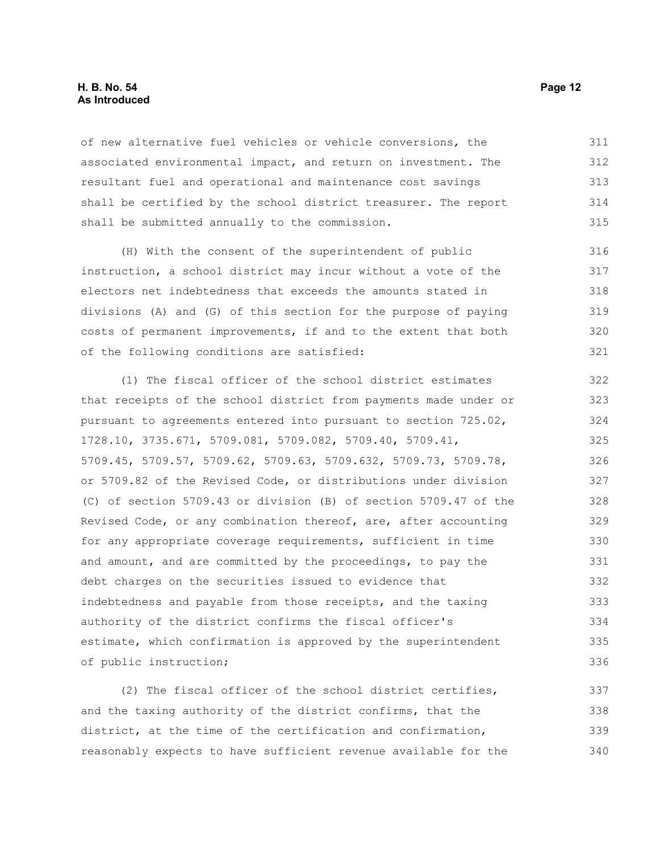#### **H. B. No. 54 Page 12 As Introduced**

of new alternative fuel vehicles or vehicle conversions, the associated environmental impact, and return on investment. The resultant fuel and operational and maintenance cost savings shall be certified by the school district treasurer. The report shall be submitted annually to the commission. 311 312 313 314 315

(H) With the consent of the superintendent of public instruction, a school district may incur without a vote of the electors net indebtedness that exceeds the amounts stated in divisions (A) and (G) of this section for the purpose of paying costs of permanent improvements, if and to the extent that both of the following conditions are satisfied:

(1) The fiscal officer of the school district estimates that receipts of the school district from payments made under or pursuant to agreements entered into pursuant to section 725.02, 1728.10, 3735.671, 5709.081, 5709.082, 5709.40, 5709.41, 5709.45, 5709.57, 5709.62, 5709.63, 5709.632, 5709.73, 5709.78, or 5709.82 of the Revised Code, or distributions under division (C) of section 5709.43 or division (B) of section 5709.47 of the Revised Code, or any combination thereof, are, after accounting for any appropriate coverage requirements, sufficient in time and amount, and are committed by the proceedings, to pay the debt charges on the securities issued to evidence that indebtedness and payable from those receipts, and the taxing authority of the district confirms the fiscal officer's estimate, which confirmation is approved by the superintendent of public instruction; 322 323 324 325 326 327 328 329 330 331 332 333 334 335 336

(2) The fiscal officer of the school district certifies, and the taxing authority of the district confirms, that the district, at the time of the certification and confirmation, reasonably expects to have sufficient revenue available for the 337 338 339 340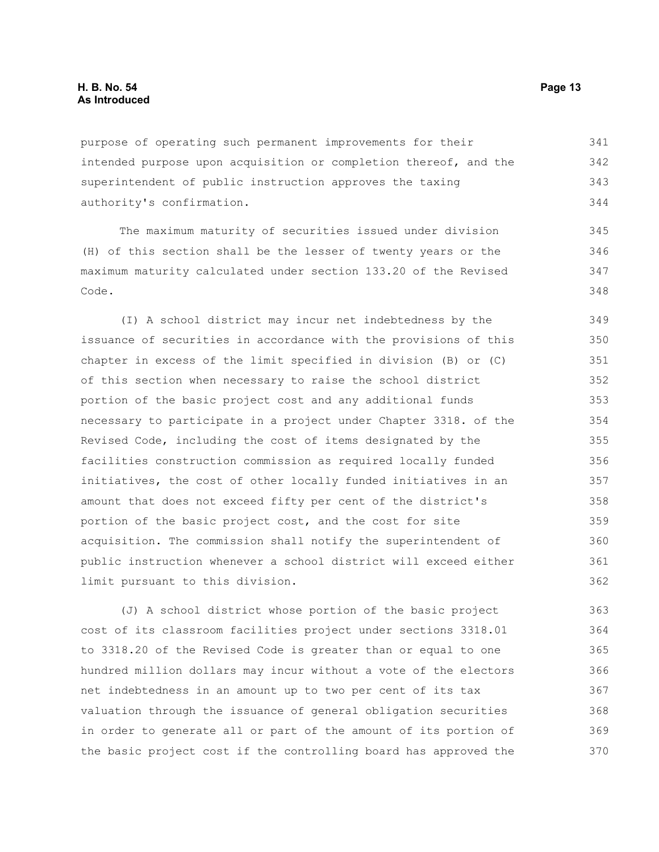purpose of operating such permanent improvements for their intended purpose upon acquisition or completion thereof, and the superintendent of public instruction approves the taxing authority's confirmation. 341 342 343 344

The maximum maturity of securities issued under division (H) of this section shall be the lesser of twenty years or the maximum maturity calculated under section 133.20 of the Revised Code.

(I) A school district may incur net indebtedness by the issuance of securities in accordance with the provisions of this chapter in excess of the limit specified in division (B) or (C) of this section when necessary to raise the school district portion of the basic project cost and any additional funds necessary to participate in a project under Chapter 3318. of the Revised Code, including the cost of items designated by the facilities construction commission as required locally funded initiatives, the cost of other locally funded initiatives in an amount that does not exceed fifty per cent of the district's portion of the basic project cost, and the cost for site acquisition. The commission shall notify the superintendent of public instruction whenever a school district will exceed either limit pursuant to this division.

(J) A school district whose portion of the basic project cost of its classroom facilities project under sections 3318.01 to 3318.20 of the Revised Code is greater than or equal to one hundred million dollars may incur without a vote of the electors net indebtedness in an amount up to two per cent of its tax valuation through the issuance of general obligation securities in order to generate all or part of the amount of its portion of the basic project cost if the controlling board has approved the 363 364 365 366 367 368 369 370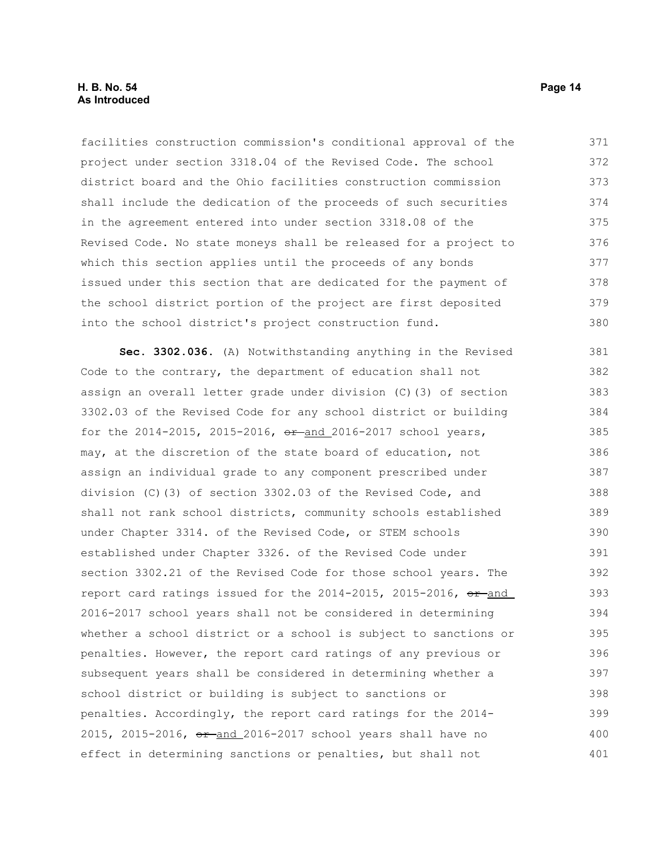# **H. B. No. 54 Page 14 As Introduced**

facilities construction commission's conditional approval of the project under section 3318.04 of the Revised Code. The school district board and the Ohio facilities construction commission shall include the dedication of the proceeds of such securities in the agreement entered into under section 3318.08 of the Revised Code. No state moneys shall be released for a project to which this section applies until the proceeds of any bonds issued under this section that are dedicated for the payment of the school district portion of the project are first deposited into the school district's project construction fund. 371 372 373 374 375 376 377 378 379 380

**Sec. 3302.036.** (A) Notwithstanding anything in the Revised Code to the contrary, the department of education shall not assign an overall letter grade under division (C)(3) of section 3302.03 of the Revised Code for any school district or building for the  $2014-2015$ ,  $2015-2016$ ,  $e^{2}$  and  $2016-2017$  school years, may, at the discretion of the state board of education, not assign an individual grade to any component prescribed under division (C)(3) of section 3302.03 of the Revised Code, and shall not rank school districts, community schools established under Chapter 3314. of the Revised Code, or STEM schools established under Chapter 3326. of the Revised Code under section 3302.21 of the Revised Code for those school years. The report card ratings issued for the  $2014-2015$ ,  $2015-2016$ ,  $\theta$ r-and 2016-2017 school years shall not be considered in determining whether a school district or a school is subject to sanctions or penalties. However, the report card ratings of any previous or subsequent years shall be considered in determining whether a school district or building is subject to sanctions or penalties. Accordingly, the report card ratings for the 2014- 2015, 2015-2016, or and 2016-2017 school years shall have no effect in determining sanctions or penalties, but shall not 381 382 383 384 385 386 387 388 389 390 391 392 393 394 395 396 397 398 399 400 401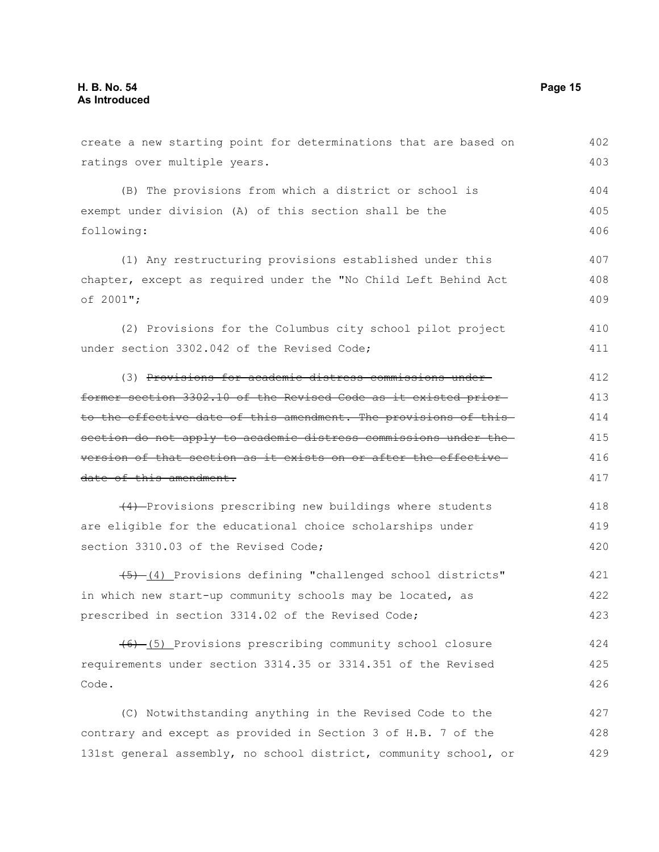create a new starting point for determinations that are based on ratings over multiple years. (B) The provisions from which a district or school is exempt under division (A) of this section shall be the following: (1) Any restructuring provisions established under this chapter, except as required under the "No Child Left Behind Act of 2001"; (2) Provisions for the Columbus city school pilot project under section 3302.042 of the Revised Code; (3) Provisions for academic distress commissions under former section 3302.10 of the Revised Code as it existed prior to the effective date of this amendment. The provisions of this section do not apply to academic distress commissions under the version of that section as it exists on or after the effective date of this amendment. (4) Provisions prescribing new buildings where students are eligible for the educational choice scholarships under section 3310.03 of the Revised Code; (5) (4) Provisions defining "challenged school districts" in which new start-up community schools may be located, as prescribed in section 3314.02 of the Revised Code; (6) (5) Provisions prescribing community school closure requirements under section 3314.35 or 3314.351 of the Revised Code. (C) Notwithstanding anything in the Revised Code to the 402 403 404 405 406 407 408 409 410 411 412 413 414 415 416 417 418 419 420 421 422 423 424 425 426 427

contrary and except as provided in Section 3 of H.B. 7 of the 131st general assembly, no school district, community school, or 428 429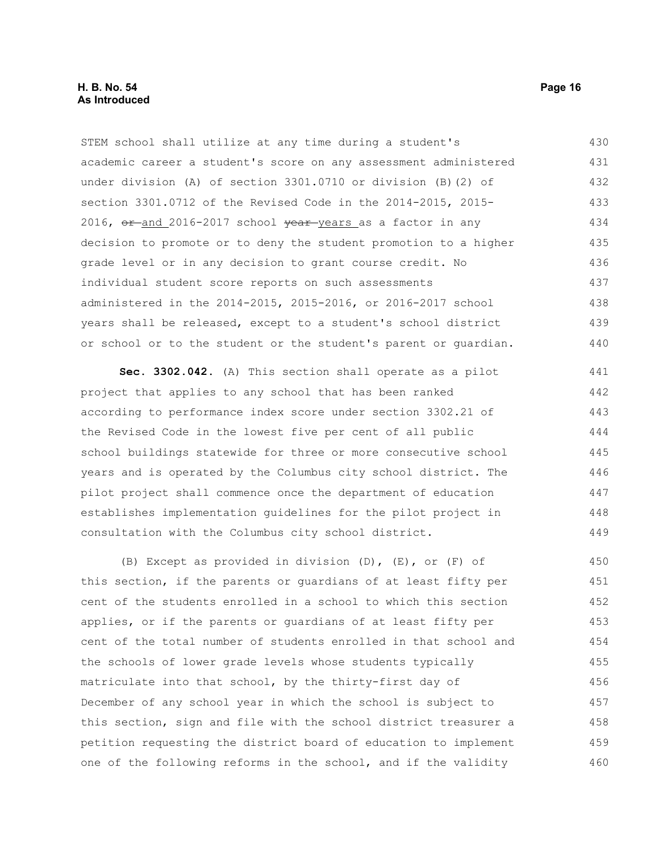STEM school shall utilize at any time during a student's academic career a student's score on any assessment administered under division (A) of section 3301.0710 or division (B)(2) of section 3301.0712 of the Revised Code in the 2014-2015, 2015- 2016,  $or$  and 2016-2017 school  $year$  years as a factor in any decision to promote or to deny the student promotion to a higher grade level or in any decision to grant course credit. No individual student score reports on such assessments administered in the 2014-2015, 2015-2016, or 2016-2017 school years shall be released, except to a student's school district or school or to the student or the student's parent or guardian. 430 431 432 433 434 435 436 437 438 439 440

**Sec. 3302.042.** (A) This section shall operate as a pilot project that applies to any school that has been ranked according to performance index score under section 3302.21 of the Revised Code in the lowest five per cent of all public school buildings statewide for three or more consecutive school years and is operated by the Columbus city school district. The pilot project shall commence once the department of education establishes implementation guidelines for the pilot project in consultation with the Columbus city school district. 441 442 443 444 445 446 447 448 449

(B) Except as provided in division (D), (E), or (F) of this section, if the parents or guardians of at least fifty per cent of the students enrolled in a school to which this section applies, or if the parents or guardians of at least fifty per cent of the total number of students enrolled in that school and the schools of lower grade levels whose students typically matriculate into that school, by the thirty-first day of December of any school year in which the school is subject to this section, sign and file with the school district treasurer a petition requesting the district board of education to implement one of the following reforms in the school, and if the validity 450 451 452 453 454 455 456 457 458 459 460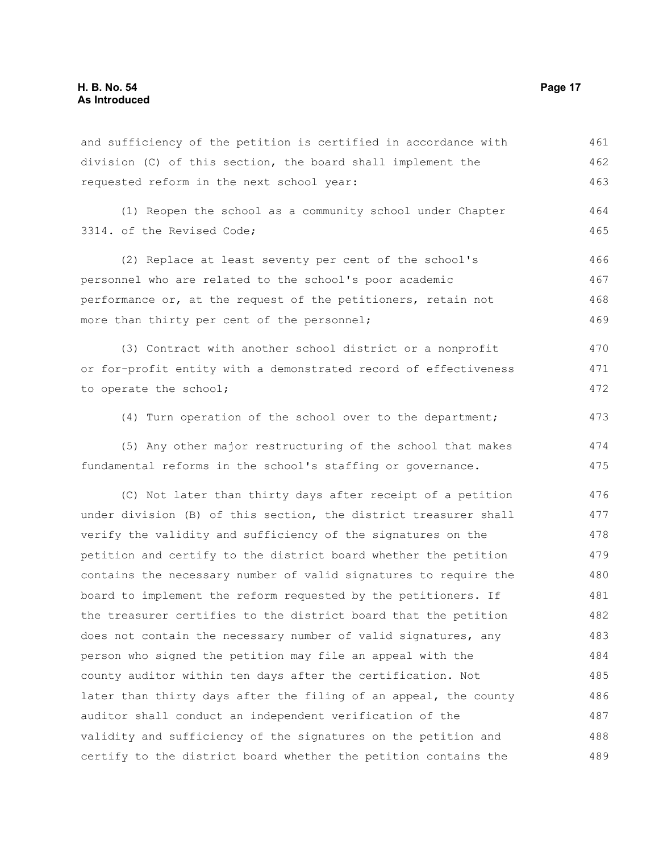and sufficiency of the petition is certified in accordance with division (C) of this section, the board shall implement the requested reform in the next school year: 461 462 463

(1) Reopen the school as a community school under Chapter 3314. of the Revised Code; 464 465

(2) Replace at least seventy per cent of the school's personnel who are related to the school's poor academic performance or, at the request of the petitioners, retain not more than thirty per cent of the personnel; 466 467 468 469

(3) Contract with another school district or a nonprofit or for-profit entity with a demonstrated record of effectiveness to operate the school; 470 471 472

(4) Turn operation of the school over to the department;

(5) Any other major restructuring of the school that makes fundamental reforms in the school's staffing or governance. 474 475

(C) Not later than thirty days after receipt of a petition under division (B) of this section, the district treasurer shall verify the validity and sufficiency of the signatures on the petition and certify to the district board whether the petition contains the necessary number of valid signatures to require the board to implement the reform requested by the petitioners. If the treasurer certifies to the district board that the petition does not contain the necessary number of valid signatures, any person who signed the petition may file an appeal with the county auditor within ten days after the certification. Not later than thirty days after the filing of an appeal, the county auditor shall conduct an independent verification of the validity and sufficiency of the signatures on the petition and certify to the district board whether the petition contains the 476 477 478 479 480 481 482 483 484 485 486 487 488 489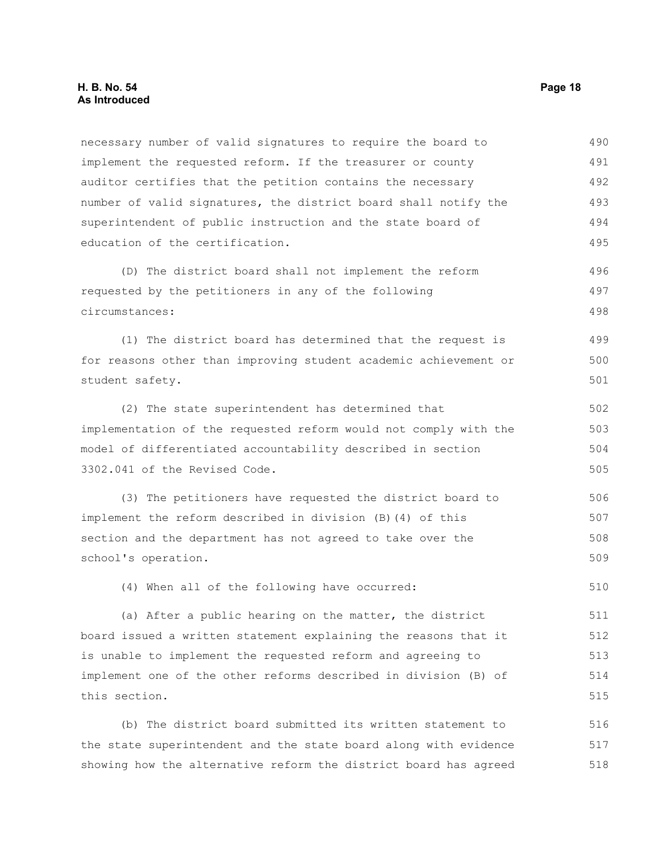# **H. B. No. 54 Page 18 As Introduced**

necessary number of valid signatures to require the board to implement the requested reform. If the treasurer or county auditor certifies that the petition contains the necessary number of valid signatures, the district board shall notify the superintendent of public instruction and the state board of education of the certification. 490 491 492 493 494 495

(D) The district board shall not implement the reform requested by the petitioners in any of the following circumstances: 496 497 498

(1) The district board has determined that the request is for reasons other than improving student academic achievement or student safety. 499 500 501

(2) The state superintendent has determined that implementation of the requested reform would not comply with the model of differentiated accountability described in section 3302.041 of the Revised Code. 502 503 504 505

(3) The petitioners have requested the district board to implement the reform described in division (B)(4) of this section and the department has not agreed to take over the school's operation. 506 507 508 509

(4) When all of the following have occurred:

(a) After a public hearing on the matter, the district board issued a written statement explaining the reasons that it is unable to implement the requested reform and agreeing to implement one of the other reforms described in division (B) of this section. 511 512 513 514 515

(b) The district board submitted its written statement to the state superintendent and the state board along with evidence showing how the alternative reform the district board has agreed 516 517 518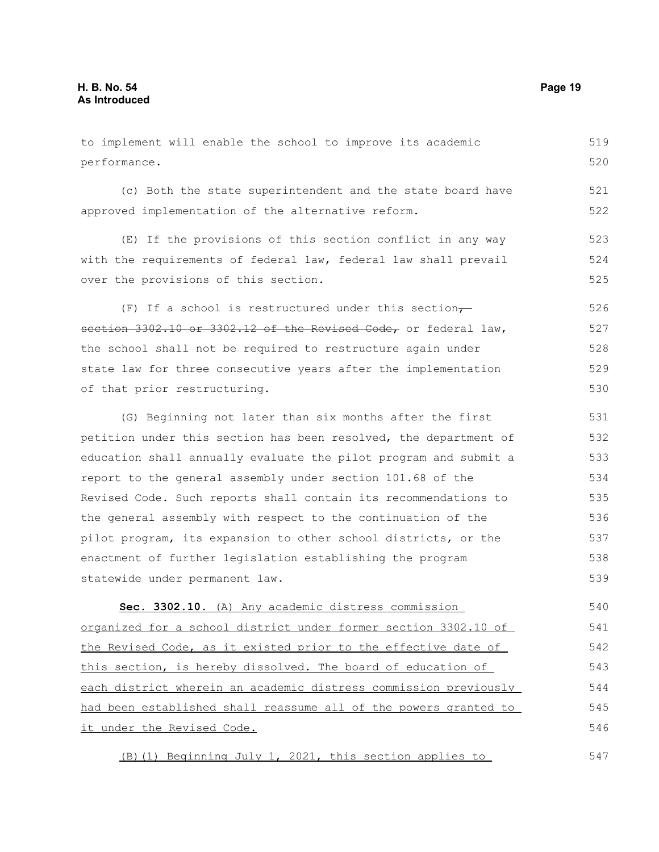to implement will enable the school to improve its academic performance. (c) Both the state superintendent and the state board have approved implementation of the alternative reform. (E) If the provisions of this section conflict in any way with the requirements of federal law, federal law shall prevail 519 520 521 522 523 524

over the provisions of this section.

(F) If a school is restructured under this section $\tau$ section 3302.10 or 3302.12 of the Revised Code, or federal law, the school shall not be required to restructure again under state law for three consecutive years after the implementation of that prior restructuring. 526 527 528 529 530

(G) Beginning not later than six months after the first petition under this section has been resolved, the department of education shall annually evaluate the pilot program and submit a report to the general assembly under section 101.68 of the Revised Code. Such reports shall contain its recommendations to the general assembly with respect to the continuation of the pilot program, its expansion to other school districts, or the enactment of further legislation establishing the program statewide under permanent law. 531 532 533 534 535 536 537 538 539

 **Sec. 3302.10.** (A) Any academic distress commission organized for a school district under former section 3302.10 of the Revised Code, as it existed prior to the effective date of this section, is hereby dissolved. The board of education of each district wherein an academic distress commission previously had been established shall reassume all of the powers granted to it under the Revised Code. 540 541 542 543 544 545 546

(B)(1) Beginning July 1, 2021, this section applies to 547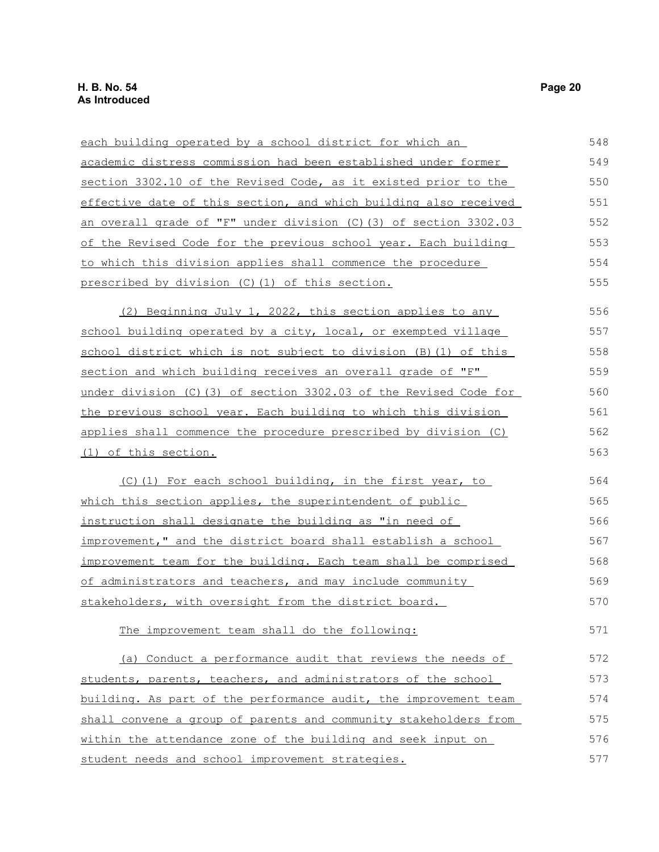| each building operated by a school district for which an            | 548 |
|---------------------------------------------------------------------|-----|
| academic distress commission had been established under former      | 549 |
| section 3302.10 of the Revised Code, as it existed prior to the     | 550 |
| effective date of this section, and which building also received    | 551 |
| an overall grade of "F" under division (C) (3) of section 3302.03   | 552 |
| of the Revised Code for the previous school year. Each building     | 553 |
| to which this division applies shall commence the procedure         | 554 |
| prescribed by division (C) (1) of this section.                     | 555 |
| (2) Beginning July 1, 2022, this section applies to any             | 556 |
| school building operated by a city, local, or exempted village      | 557 |
| school district which is not subject to division (B) (1) of this    | 558 |
| section and which building receives an overall grade of "F"         | 559 |
| under division $(C)$ (3) of section 3302.03 of the Revised Code for | 560 |
| the previous school year. Each building to which this division      | 561 |
| applies shall commence the procedure prescribed by division (C)     | 562 |
| <u>(1) of this section.</u>                                         | 563 |
| (C)(1) For each school building, in the first year, to              | 564 |
| which this section applies, the superintendent of public            | 565 |
| instruction shall designate the building as "in need of             | 566 |
| improvement," and the district board shall establish a school       | 567 |
| improvement team for the building. Each team shall be comprised     | 568 |
| of administrators and teachers, and may include community           | 569 |
| stakeholders, with oversight from the district board.               | 570 |
| The improvement team shall do the following:                        | 571 |
| (a) Conduct a performance audit that reviews the needs of           | 572 |
| students, parents, teachers, and administrators of the school       | 573 |
| building. As part of the performance audit, the improvement team    | 574 |
| shall convene a group of parents and community stakeholders from    | 575 |
| within the attendance zone of the building and seek input on        | 576 |
| student needs and school improvement strategies.                    | 577 |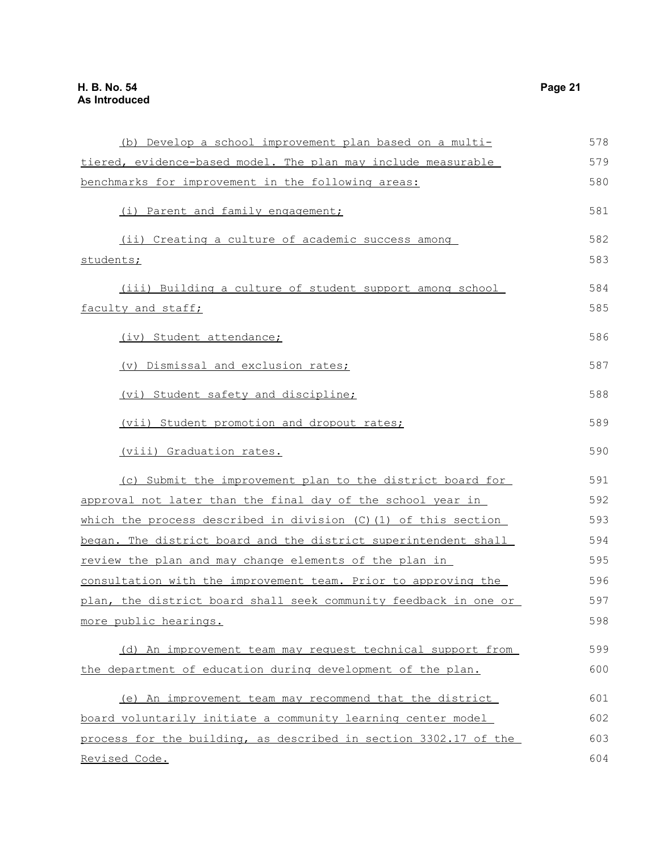| (b) Develop a school improvement plan based on a multi-           | 578 |
|-------------------------------------------------------------------|-----|
| tiered, evidence-based model. The plan may include measurable     | 579 |
| benchmarks for improvement in the following areas:                | 580 |
| (i) Parent and family engagement;                                 | 581 |
| (ii) Creating a culture of academic success among                 | 582 |
| students;                                                         | 583 |
| (iii) Building a culture of student support among school          | 584 |
| faculty and staff;                                                | 585 |
| (iv) Student attendance;                                          | 586 |
| (v) Dismissal and exclusion rates;                                | 587 |
| (vi) Student safety and discipline;                               | 588 |
| (vii) Student promotion and dropout rates;                        | 589 |
| (viii) Graduation rates.                                          | 590 |
| (c) Submit the improvement plan to the district board for         | 591 |
| approval not later than the final day of the school year in       | 592 |
| which the process described in division $(C)$ (1) of this section | 593 |
| began. The district board and the district superintendent shall   | 594 |
| review the plan and may change elements of the plan in            | 595 |
| consultation with the improvement team. Prior to approving the    | 596 |
| plan, the district board shall seek community feedback in one or  | 597 |
| more public hearings.                                             | 598 |
| (d) An improvement team may request technical support from        | 599 |
| the department of education during development of the plan.       | 600 |
| (e) An improvement team may recommend that the district           | 601 |
| board voluntarily initiate a community learning center model      | 602 |
| process for the building, as described in section 3302.17 of the  | 603 |
| Revised Code.                                                     | 604 |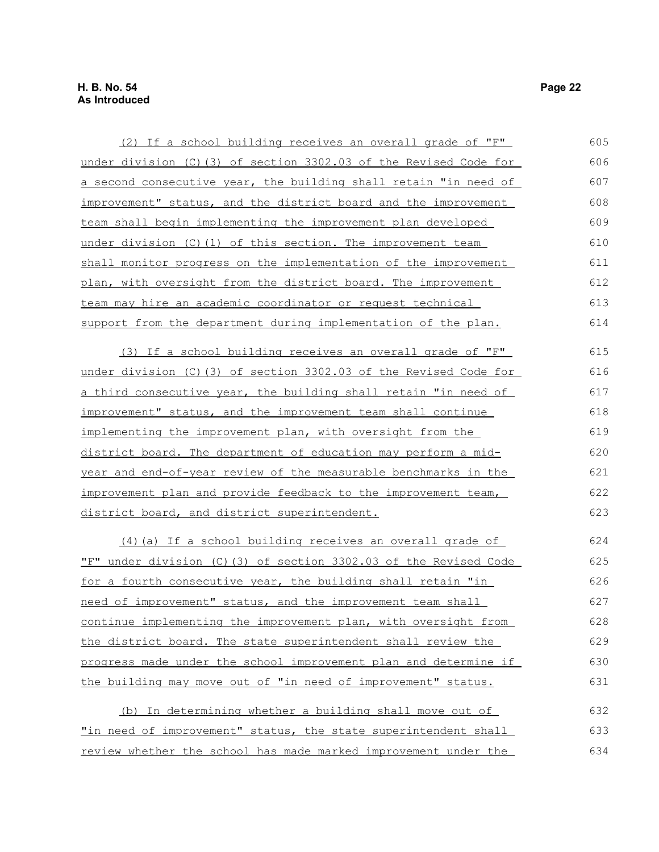| (2) If a school building receives an overall grade of "F"             | 605 |
|-----------------------------------------------------------------------|-----|
| under division (C) (3) of section 3302.03 of the Revised Code for     | 606 |
| a second consecutive year, the building shall retain "in need of      | 607 |
| improvement" status, and the district board and the improvement       | 608 |
| team shall begin implementing the improvement plan developed          | 609 |
| under division (C) (1) of this section. The improvement team          | 610 |
| shall monitor progress on the implementation of the improvement       | 611 |
| plan, with oversight from the district board. The improvement         | 612 |
| team may hire an academic coordinator or request technical            | 613 |
| support from the department during implementation of the plan.        | 614 |
| (3) If a school building receives an overall grade of "F"             | 615 |
| under division (C) (3) of section 3302.03 of the Revised Code for     | 616 |
| a third consecutive year, the building shall retain "in need of       | 617 |
| improvement" status, and the improvement team shall continue          | 618 |
| implementing the improvement plan, with oversight from the            | 619 |
| <u>district board. The department of education may perform a mid-</u> | 620 |
| year and end-of-year review of the measurable benchmarks in the       | 621 |
| improvement plan and provide feedback to the improvement team,        | 622 |
| district board, and district superintendent.                          | 623 |
| (4) (a) If a school building receives an overall grade of             | 624 |
| "F" under division (C)(3) of section 3302.03 of the Revised Code      | 625 |
| for a fourth consecutive year, the building shall retain "in          | 626 |
| need of improvement" status, and the improvement team shall           | 627 |
| continue implementing the improvement plan, with oversight from       | 628 |
| the district board. The state superintendent shall review the         | 629 |
| progress made under the school improvement plan and determine if      | 630 |
| the building may move out of "in need of improvement" status.         | 631 |
| (b) In determining whether a building shall move out of               | 632 |

"in need of improvement" status, the state superintendent shall review whether the school has made marked improvement under the 633 634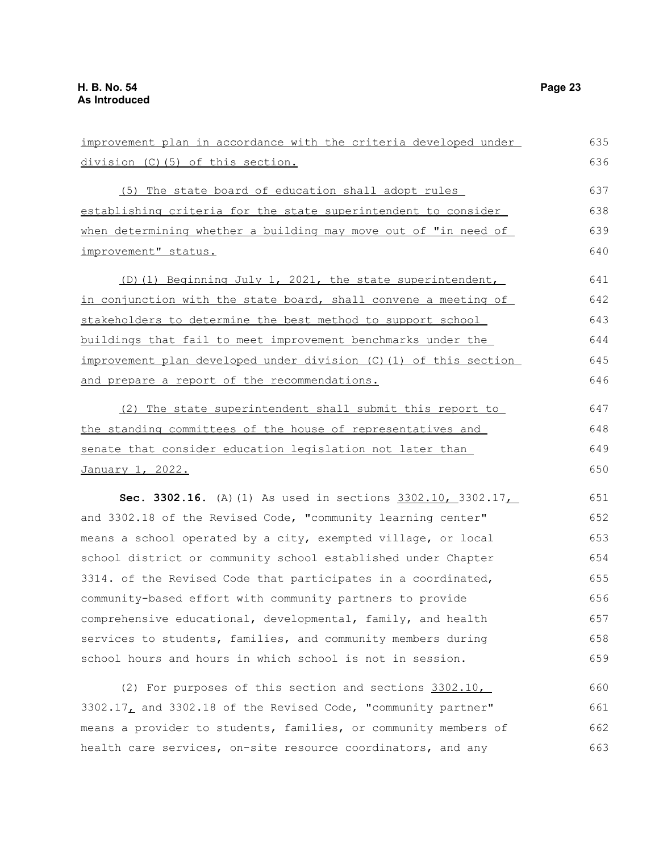663

| improvement plan in accordance with the criteria developed under  | 635 |
|-------------------------------------------------------------------|-----|
| division (C) (5) of this section.                                 | 636 |
| (5) The state board of education shall adopt rules                | 637 |
| establishing criteria for the state superintendent to consider    | 638 |
| when determining whether a building may move out of "in need of   | 639 |
| improvement" status.                                              | 640 |
| (D)(1) Beginning July 1, 2021, the state superintendent,          | 641 |
| in conjunction with the state board, shall convene a meeting of   | 642 |
| stakeholders to determine the best method to support school       | 643 |
| buildings that fail to meet improvement benchmarks under the      | 644 |
| improvement plan developed under division (C) (1) of this section | 645 |
| and prepare a report of the recommendations.                      | 646 |
| (2) The state superintendent shall submit this report to          | 647 |
| the standing committees of the house of representatives and       | 648 |
| senate that consider education legislation not later than         | 649 |
| January 1, 2022.                                                  | 650 |
| Sec. 3302.16. (A) (1) As used in sections 3302.10, 3302.17        | 651 |
| and 3302.18 of the Revised Code, "community learning center"      | 652 |
| means a school operated by a city, exempted village, or local     | 653 |
| school district or community school established under Chapter     | 654 |
| 3314. of the Revised Code that participates in a coordinated,     | 655 |
| community-based effort with community partners to provide         | 656 |
| comprehensive educational, developmental, family, and health      | 657 |
| services to students, families, and community members during      | 658 |
| school hours and hours in which school is not in session.         | 659 |
| (2) For purposes of this section and sections 3302.10,            | 660 |
| 3302.17, and 3302.18 of the Revised Code, "community partner"     | 661 |
| means a provider to students, families, or community members of   | 662 |

health care services, on-site resource coordinators, and any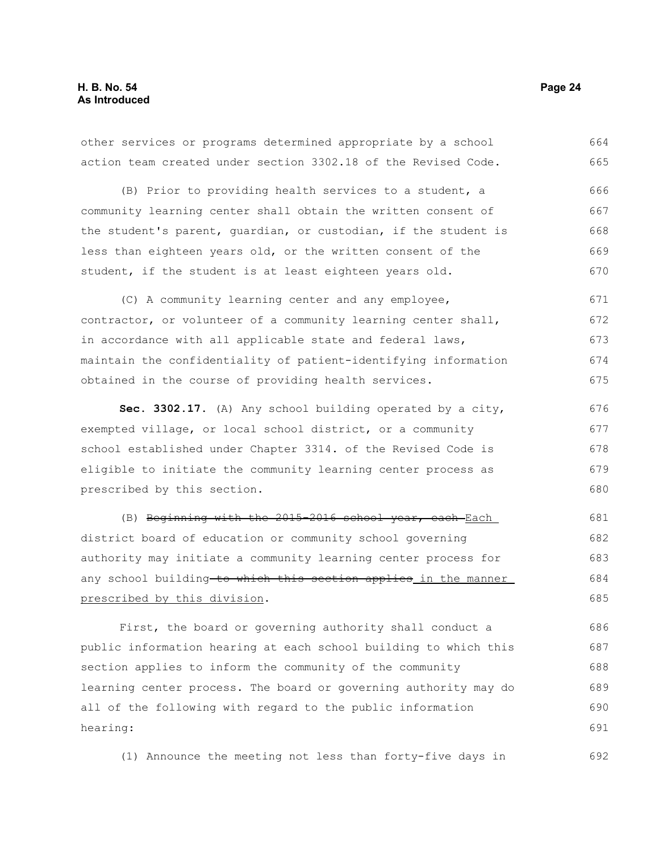other services or programs determined appropriate by a school action team created under section 3302.18 of the Revised Code. 664 665

(B) Prior to providing health services to a student, a community learning center shall obtain the written consent of the student's parent, guardian, or custodian, if the student is less than eighteen years old, or the written consent of the student, if the student is at least eighteen years old. 666 667 668 669 670

(C) A community learning center and any employee, contractor, or volunteer of a community learning center shall, in accordance with all applicable state and federal laws, maintain the confidentiality of patient-identifying information obtained in the course of providing health services. 671 672 673 674 675

**Sec. 3302.17.** (A) Any school building operated by a city, exempted village, or local school district, or a community school established under Chapter 3314. of the Revised Code is eligible to initiate the community learning center process as prescribed by this section. 676 677 678 679 680

(B) Beginning with the 2015-2016 school year, each Each district board of education or community school governing authority may initiate a community learning center process for any school building to which this section applies in the manner prescribed by this division. 681 682 683 684 685

First, the board or governing authority shall conduct a public information hearing at each school building to which this section applies to inform the community of the community learning center process. The board or governing authority may do all of the following with regard to the public information hearing: 686 687 688 689 690 691

(1) Announce the meeting not less than forty-five days in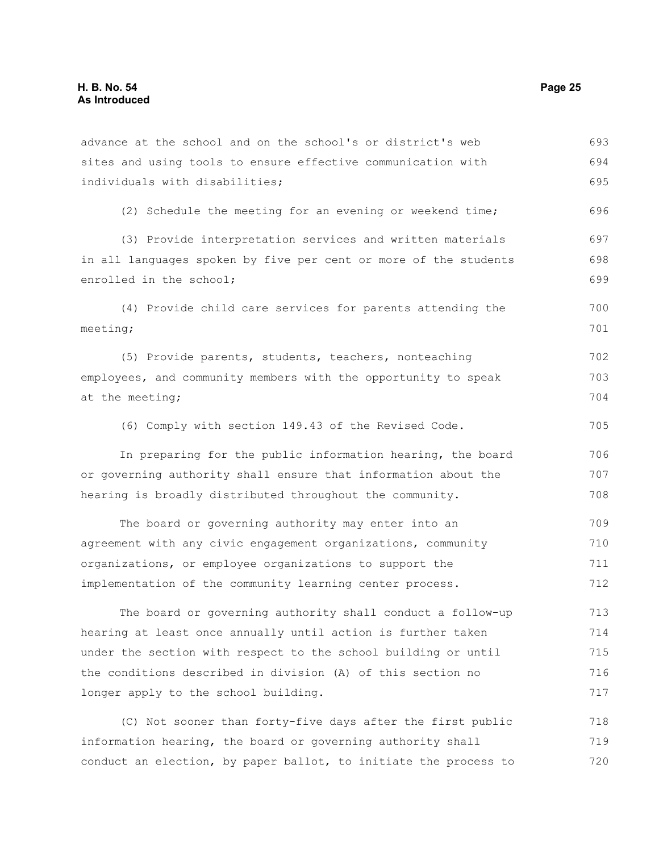advance at the school and on the school's or district's web sites and using tools to ensure effective communication with individuals with disabilities; (2) Schedule the meeting for an evening or weekend time; (3) Provide interpretation services and written materials in all languages spoken by five per cent or more of the students enrolled in the school; (4) Provide child care services for parents attending the meeting; (5) Provide parents, students, teachers, nonteaching employees, and community members with the opportunity to speak at the meeting; (6) Comply with section 149.43 of the Revised Code. In preparing for the public information hearing, the board or governing authority shall ensure that information about the hearing is broadly distributed throughout the community. The board or governing authority may enter into an agreement with any civic engagement organizations, community organizations, or employee organizations to support the implementation of the community learning center process. The board or governing authority shall conduct a follow-up hearing at least once annually until action is further taken under the section with respect to the school building or until the conditions described in division (A) of this section no longer apply to the school building. 693 694 695 696 697 698 699 700 701 702 703 704 705 706 707 708 709 710 711 712 713 714 715 716 717 718

(C) Not sooner than forty-five days after the first public information hearing, the board or governing authority shall conduct an election, by paper ballot, to initiate the process to 719 720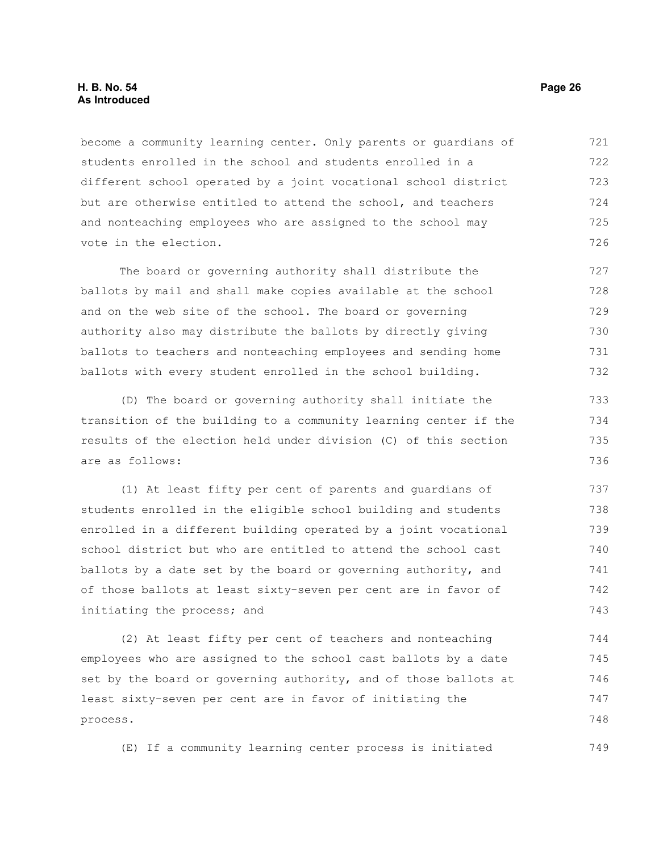# **H. B. No. 54 Page 26 As Introduced**

become a community learning center. Only parents or guardians of students enrolled in the school and students enrolled in a different school operated by a joint vocational school district but are otherwise entitled to attend the school, and teachers and nonteaching employees who are assigned to the school may vote in the election. 721 722 723 724 725 726

The board or governing authority shall distribute the ballots by mail and shall make copies available at the school and on the web site of the school. The board or governing authority also may distribute the ballots by directly giving ballots to teachers and nonteaching employees and sending home ballots with every student enrolled in the school building. 727 728 729 730 731 732

(D) The board or governing authority shall initiate the transition of the building to a community learning center if the results of the election held under division (C) of this section are as follows:

(1) At least fifty per cent of parents and guardians of students enrolled in the eligible school building and students enrolled in a different building operated by a joint vocational school district but who are entitled to attend the school cast ballots by a date set by the board or governing authority, and of those ballots at least sixty-seven per cent are in favor of initiating the process; and 737 738 739 740 741 742 743

(2) At least fifty per cent of teachers and nonteaching employees who are assigned to the school cast ballots by a date set by the board or governing authority, and of those ballots at least sixty-seven per cent are in favor of initiating the process. 744 745 746 747 748

(E) If a community learning center process is initiated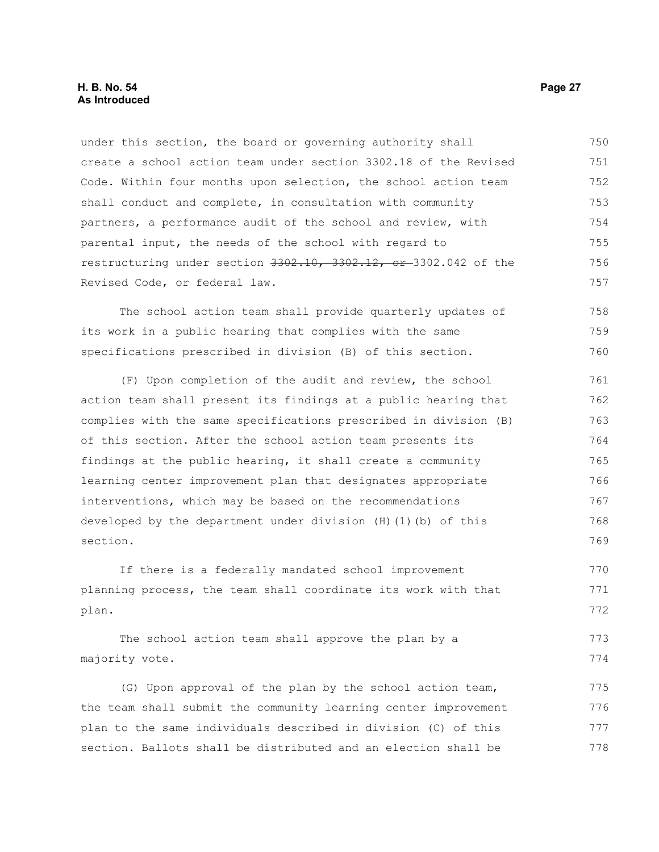under this section, the board or governing authority shall create a school action team under section 3302.18 of the Revised Code. Within four months upon selection, the school action team shall conduct and complete, in consultation with community partners, a performance audit of the school and review, with parental input, the needs of the school with regard to restructuring under section 3302.10, 3302.12, or 3302.042 of the Revised Code, or federal law. 750 751 752 753 754 755 756 757

The school action team shall provide quarterly updates of its work in a public hearing that complies with the same specifications prescribed in division (B) of this section. 758 759 760

(F) Upon completion of the audit and review, the school action team shall present its findings at a public hearing that complies with the same specifications prescribed in division (B) of this section. After the school action team presents its findings at the public hearing, it shall create a community learning center improvement plan that designates appropriate interventions, which may be based on the recommendations developed by the department under division (H)(1)(b) of this section. 761 762 763 764 765 766 767 768 769

If there is a federally mandated school improvement planning process, the team shall coordinate its work with that plan. 770 771 772

The school action team shall approve the plan by a majority vote. 773 774

(G) Upon approval of the plan by the school action team, the team shall submit the community learning center improvement plan to the same individuals described in division (C) of this section. Ballots shall be distributed and an election shall be 775 776 777 778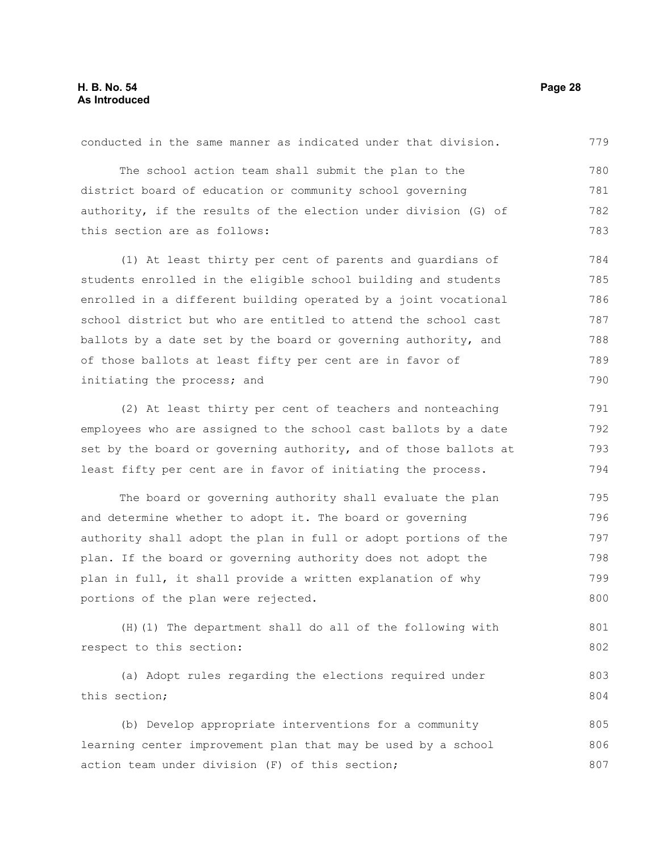The school action team shall submit the plan to the district board of education or community school governing authority, if the results of the election under division (G) of this section are as follows: (1) At least thirty per cent of parents and guardians of students enrolled in the eligible school building and students enrolled in a different building operated by a joint vocational school district but who are entitled to attend the school cast ballots by a date set by the board or governing authority, and of those ballots at least fifty per cent are in favor of initiating the process; and 780 781 782 783 784 785 786 787 788 789 790

conducted in the same manner as indicated under that division.

(2) At least thirty per cent of teachers and nonteaching employees who are assigned to the school cast ballots by a date set by the board or governing authority, and of those ballots at least fifty per cent are in favor of initiating the process. 791 792 793 794

The board or governing authority shall evaluate the plan and determine whether to adopt it. The board or governing authority shall adopt the plan in full or adopt portions of the plan. If the board or governing authority does not adopt the plan in full, it shall provide a written explanation of why portions of the plan were rejected. 795 796 797 798 799 800

(H)(1) The department shall do all of the following with respect to this section: 801 802

(a) Adopt rules regarding the elections required under this section; 803 804

(b) Develop appropriate interventions for a community learning center improvement plan that may be used by a school action team under division (F) of this section; 805 806 807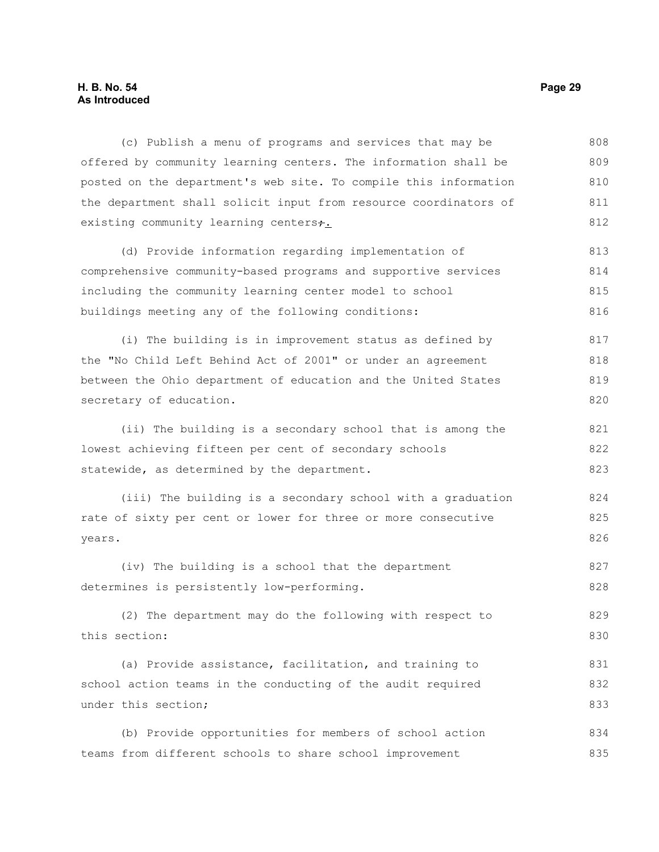# **H. B. No. 54 Page 29 As Introduced**

(c) Publish a menu of programs and services that may be offered by community learning centers. The information shall be posted on the department's web site. To compile this information the department shall solicit input from resource coordinators of existing community learning centers+. (d) Provide information regarding implementation of comprehensive community-based programs and supportive services including the community learning center model to school buildings meeting any of the following conditions: (i) The building is in improvement status as defined by the "No Child Left Behind Act of 2001" or under an agreement between the Ohio department of education and the United States secretary of education. (ii) The building is a secondary school that is among the lowest achieving fifteen per cent of secondary schools statewide, as determined by the department. (iii) The building is a secondary school with a graduation rate of sixty per cent or lower for three or more consecutive years. (iv) The building is a school that the department determines is persistently low-performing. (2) The department may do the following with respect to this section: (a) Provide assistance, facilitation, and training to school action teams in the conducting of the audit required under this section; (b) Provide opportunities for members of school action teams from different schools to share school improvement 808 809 810 811 812 813 814 815 816 817 818 819 820 821 822 823 824 825 826 827 828 829 830 831 832 833 834 835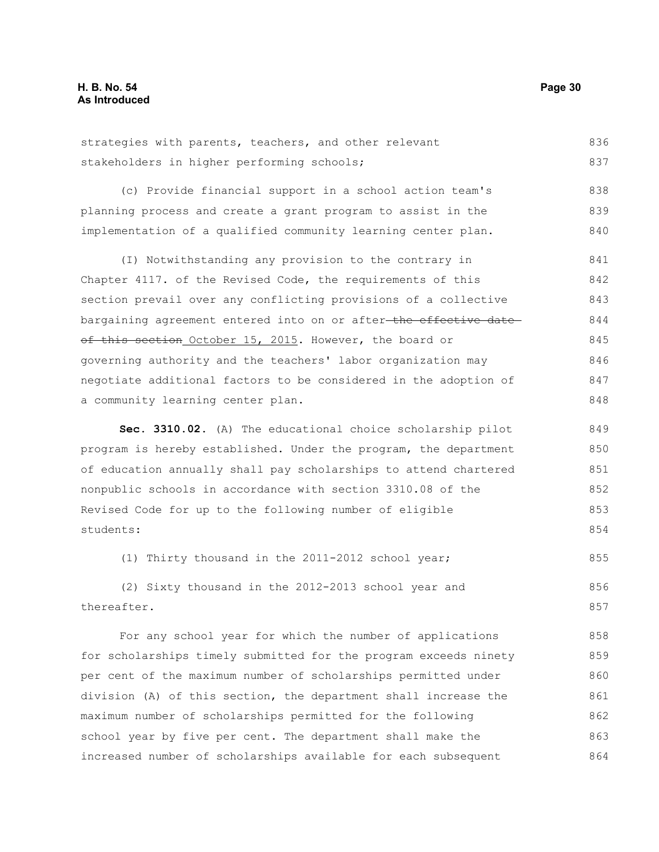strategies with parents, teachers, and other relevant stakeholders in higher performing schools; 836 837

(c) Provide financial support in a school action team's planning process and create a grant program to assist in the implementation of a qualified community learning center plan. 838 839 840

(I) Notwithstanding any provision to the contrary in Chapter 4117. of the Revised Code, the requirements of this section prevail over any conflicting provisions of a collective bargaining agreement entered into on or after-the effective dateof this section October 15, 2015. However, the board or governing authority and the teachers' labor organization may negotiate additional factors to be considered in the adoption of a community learning center plan. 841 842 843 844 845 846 847 848

**Sec. 3310.02.** (A) The educational choice scholarship pilot program is hereby established. Under the program, the department of education annually shall pay scholarships to attend chartered nonpublic schools in accordance with section 3310.08 of the Revised Code for up to the following number of eligible students: 849 850 851 852 853 854

(1) Thirty thousand in the 2011-2012 school year; 855

(2) Sixty thousand in the 2012-2013 school year and thereafter. 856 857

For any school year for which the number of applications for scholarships timely submitted for the program exceeds ninety per cent of the maximum number of scholarships permitted under division (A) of this section, the department shall increase the maximum number of scholarships permitted for the following school year by five per cent. The department shall make the increased number of scholarships available for each subsequent 858 859 860 861 862 863 864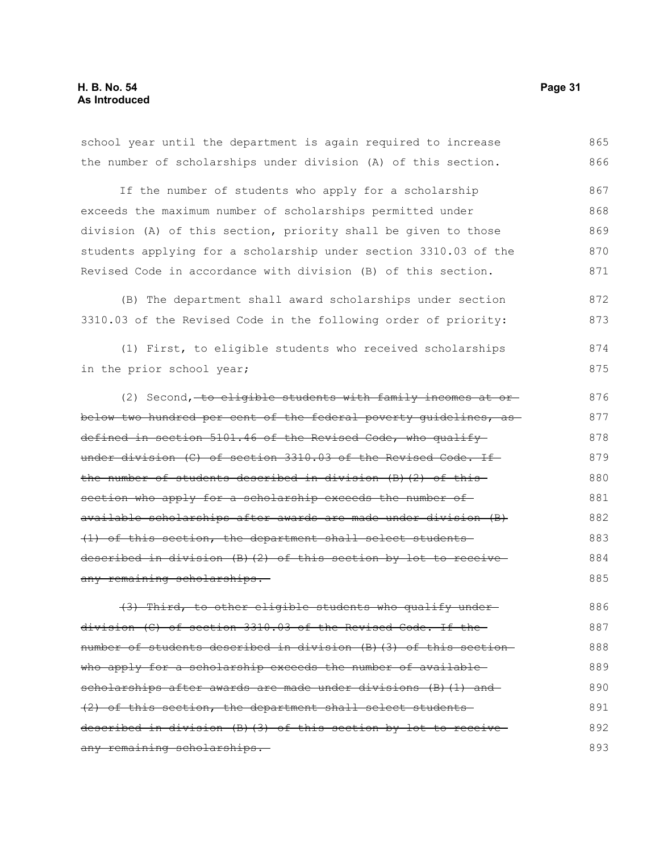school year until the department is again required to increase the number of scholarships under division (A) of this section. If the number of students who apply for a scholarship exceeds the maximum number of scholarships permitted under division (A) of this section, priority shall be given to those students applying for a scholarship under section 3310.03 of the Revised Code in accordance with division (B) of this section. (B) The department shall award scholarships under section 3310.03 of the Revised Code in the following order of priority: (1) First, to eligible students who received scholarships in the prior school year; (2) Second, to eligible students with family incomes at orbelow two hundred per cent of the federal poverty guidelines, as defined in section 5101.46 of the Revised Code, who qualify under division (C) of section 3310.03 of the Revised Code. If the number of students described in division (B)(2) of this section who apply for a scholarship exceeds the number ofavailable scholarships after awards are made under division (B) (1) of this section, the department shall select students described in division (B)(2) of this section by lot to receive any remaining scholarships. (3) Third, to other eligible students who qualify under division (C) of section 3310.03 of the Revised Code. If the number of students described in division (B)(3) of this section who apply for a scholarship exceeds the number of availablescholarships after awards are made under divisions (B)(1) and (2) of this section, the department shall select students described in division (B)(3) of this section by lot to receive 865 866 867 868 869 870 871 872 873 874 875 876 877 878 879 880 881 882 883 884 885 886 887 888 889 890 891 892

any remaining scholarships.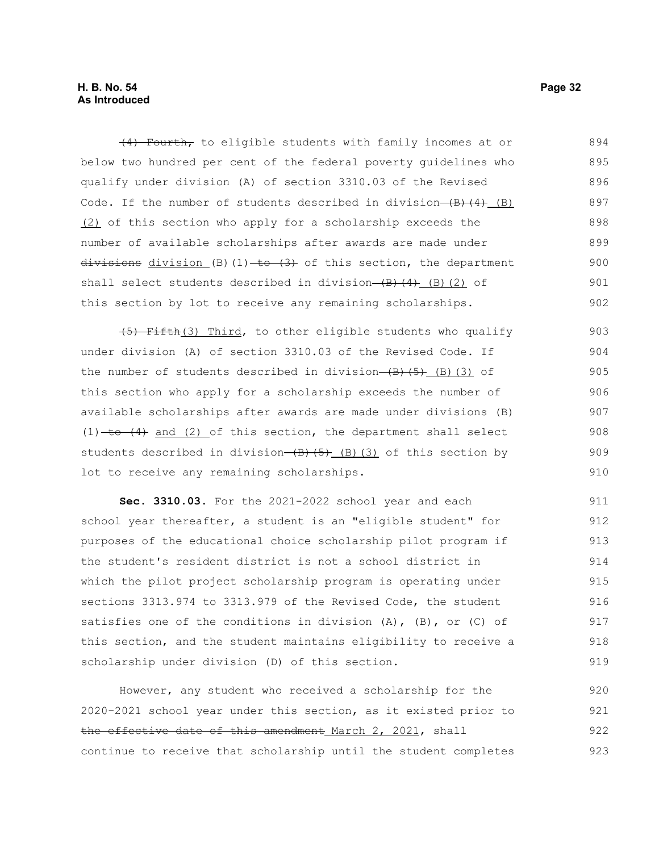# **H. B. No. 54 Page 32 As Introduced**

(4) Fourth, to eligible students with family incomes at or below two hundred per cent of the federal poverty guidelines who qualify under division (A) of section 3310.03 of the Revised Code. If the number of students described in division $-(B)$  $(4)$  (B) (2) of this section who apply for a scholarship exceeds the number of available scholarships after awards are made under divisions division (B)(1)  $+6$   $(3)$  of this section, the department shall select students described in division  $(B)$   $(4)$   $(B)$   $(2)$  of this section by lot to receive any remaining scholarships. 894 895 896 897 898 899 900 901 902

(5) Fifth(3) Third, to other eligible students who qualify under division (A) of section 3310.03 of the Revised Code. If the number of students described in division- $(B)$ (5)(3) of this section who apply for a scholarship exceeds the number of available scholarships after awards are made under divisions (B)  $(1)$  to  $(4)$  and  $(2)$  of this section, the department shall select students described in division $(\theta)$ (5)(3) of this section by lot to receive any remaining scholarships. 903 904 905 906 907 908 909 910

**Sec. 3310.03.** For the 2021-2022 school year and each school year thereafter, a student is an "eligible student" for purposes of the educational choice scholarship pilot program if the student's resident district is not a school district in which the pilot project scholarship program is operating under sections 3313.974 to 3313.979 of the Revised Code, the student satisfies one of the conditions in division  $(A)$ ,  $(B)$ , or  $(C)$  of this section, and the student maintains eligibility to receive a scholarship under division (D) of this section. 911 912 913 914 915 916 917 918 919

However, any student who received a scholarship for the 2020-2021 school year under this section, as it existed prior to the effective date of this amendment March 2, 2021, shall continue to receive that scholarship until the student completes 920 921 922 923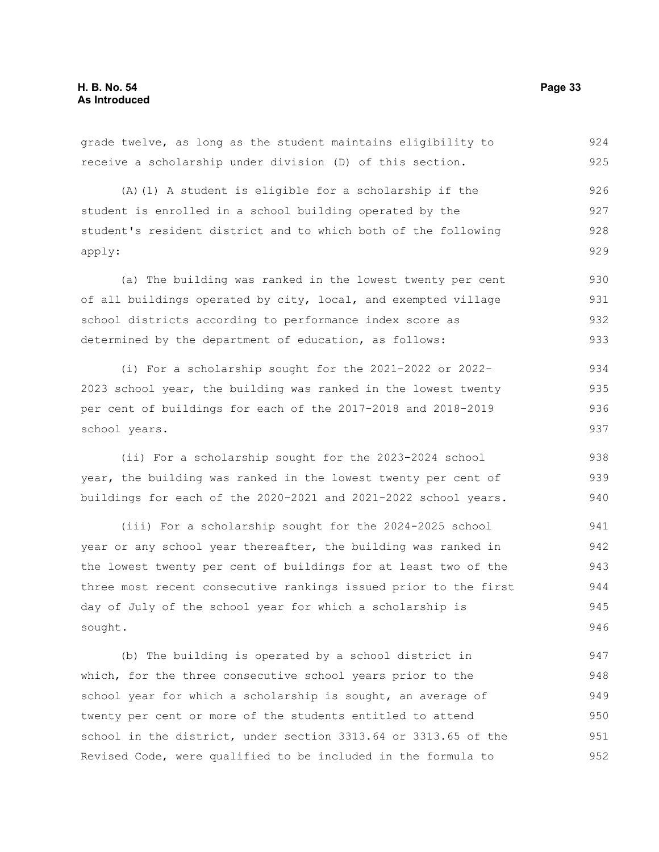grade twelve, as long as the student maintains eligibility to receive a scholarship under division (D) of this section. 924 925

(A)(1) A student is eligible for a scholarship if the student is enrolled in a school building operated by the student's resident district and to which both of the following apply: 926 927 928 929

(a) The building was ranked in the lowest twenty per cent of all buildings operated by city, local, and exempted village school districts according to performance index score as determined by the department of education, as follows: 930 931 932 933

(i) For a scholarship sought for the 2021-2022 or 2022- 2023 school year, the building was ranked in the lowest twenty per cent of buildings for each of the 2017-2018 and 2018-2019 school years. 934 935 936 937

(ii) For a scholarship sought for the 2023-2024 school year, the building was ranked in the lowest twenty per cent of buildings for each of the 2020-2021 and 2021-2022 school years.

(iii) For a scholarship sought for the 2024-2025 school year or any school year thereafter, the building was ranked in the lowest twenty per cent of buildings for at least two of the three most recent consecutive rankings issued prior to the first day of July of the school year for which a scholarship is sought. 941 942 943 944 945 946

(b) The building is operated by a school district in which, for the three consecutive school years prior to the school year for which a scholarship is sought, an average of twenty per cent or more of the students entitled to attend school in the district, under section 3313.64 or 3313.65 of the Revised Code, were qualified to be included in the formula to 947 948 949 950 951 952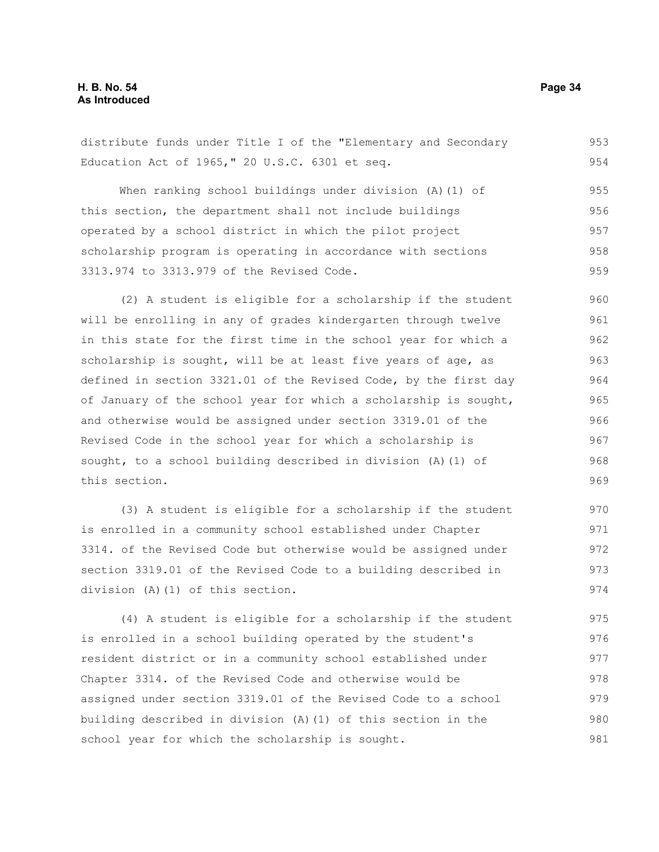distribute funds under Title I of the "Elementary and Secondary Education Act of 1965," 20 U.S.C. 6301 et seq. 953 954

When ranking school buildings under division (A)(1) of this section, the department shall not include buildings operated by a school district in which the pilot project scholarship program is operating in accordance with sections 3313.974 to 3313.979 of the Revised Code. 955 956 957 958 959

(2) A student is eligible for a scholarship if the student will be enrolling in any of grades kindergarten through twelve in this state for the first time in the school year for which a scholarship is sought, will be at least five years of age, as defined in section 3321.01 of the Revised Code, by the first day of January of the school year for which a scholarship is sought, and otherwise would be assigned under section 3319.01 of the Revised Code in the school year for which a scholarship is sought, to a school building described in division (A)(1) of this section. 960 961 962 963 964 965 966 967 968 969

(3) A student is eligible for a scholarship if the student is enrolled in a community school established under Chapter 3314. of the Revised Code but otherwise would be assigned under section 3319.01 of the Revised Code to a building described in division (A)(1) of this section. 970 971 972 973 974

(4) A student is eligible for a scholarship if the student is enrolled in a school building operated by the student's resident district or in a community school established under Chapter 3314. of the Revised Code and otherwise would be assigned under section 3319.01 of the Revised Code to a school building described in division (A)(1) of this section in the school year for which the scholarship is sought. 975 976 977 978 979 980 981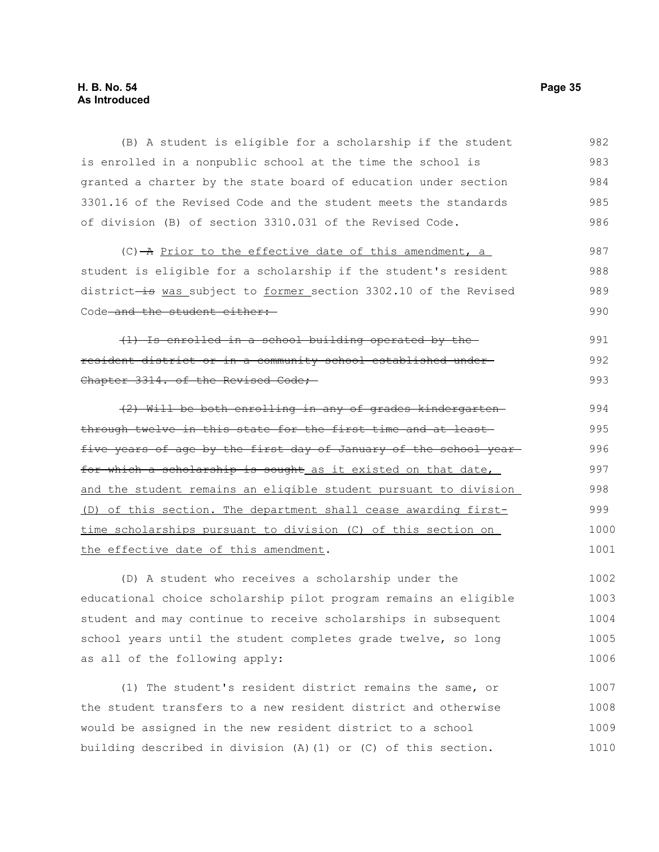# **H. B. No. 54 Page 35 As Introduced**

(B) A student is eligible for a scholarship if the student is enrolled in a nonpublic school at the time the school is granted a charter by the state board of education under section 3301.16 of the Revised Code and the student meets the standards of division (B) of section 3310.031 of the Revised Code. 982 983 984 985 986

 $(C)$  -A Prior to the effective date of this amendment, a student is eligible for a scholarship if the student's resident district-is was subject to former section 3302.10 of the Revised Code and the student either: 987 988 989 990

(1) Is enrolled in a school building operated by the resident district or in a community school established under Chapter 3314. of the Revised Code; 991 992 993

(2) Will be both enrolling in any of grades kindergarten through twelve in this state for the first time and at least five years of age by the first day of January of the school year for which a scholarship is sought as it existed on that date, and the student remains an eligible student pursuant to division (D) of this section. The department shall cease awarding firsttime scholarships pursuant to division (C) of this section on the effective date of this amendment. 994 995 996 997 998 999 1000 1001

(D) A student who receives a scholarship under the educational choice scholarship pilot program remains an eligible student and may continue to receive scholarships in subsequent school years until the student completes grade twelve, so long as all of the following apply: 1002 1003 1004 1005 1006

(1) The student's resident district remains the same, or the student transfers to a new resident district and otherwise would be assigned in the new resident district to a school building described in division (A)(1) or (C) of this section. 1007 1008 1009 1010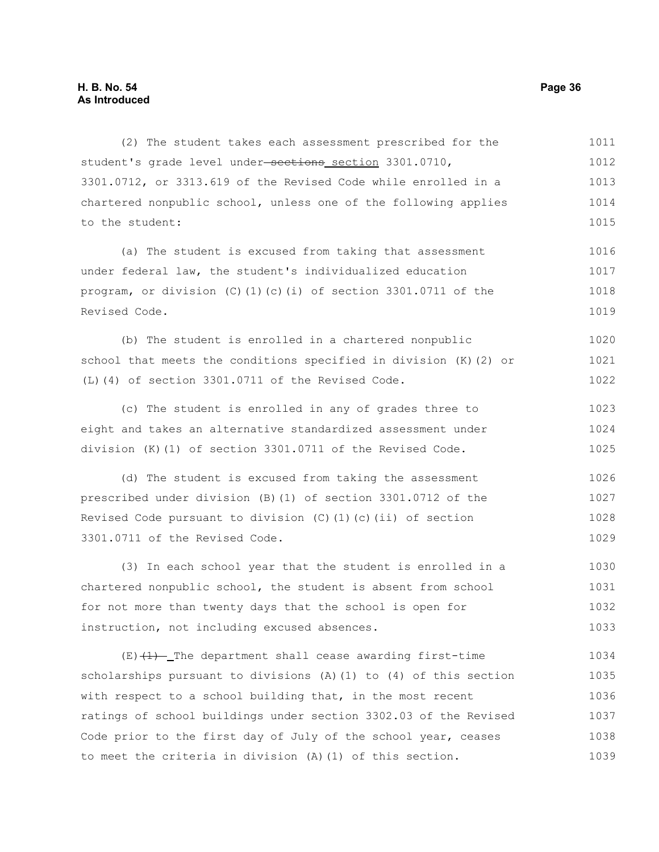(2) The student takes each assessment prescribed for the student's grade level under-sections section 3301.0710, 3301.0712, or 3313.619 of the Revised Code while enrolled in a chartered nonpublic school, unless one of the following applies to the student: (a) The student is excused from taking that assessment under federal law, the student's individualized education program, or division (C)(1)(c)(i) of section 3301.0711 of the Revised Code. (b) The student is enrolled in a chartered nonpublic school that meets the conditions specified in division (K)(2) or (L)(4) of section 3301.0711 of the Revised Code. (c) The student is enrolled in any of grades three to eight and takes an alternative standardized assessment under division (K)(1) of section 3301.0711 of the Revised Code. (d) The student is excused from taking the assessment prescribed under division (B)(1) of section 3301.0712 of the Revised Code pursuant to division (C)(1)(c)(ii) of section 3301.0711 of the Revised Code. (3) In each school year that the student is enrolled in a chartered nonpublic school, the student is absent from school for not more than twenty days that the school is open for instruction, not including excused absences.  $(E)$   $(1)$  - The department shall cease awarding first-time scholarships pursuant to divisions (A)(1) to (4) of this section with respect to a school building that, in the most recent 1011 1012 1013 1014 1015 1016 1017 1018 1019 1020 1021 1022 1023 1024 1025 1026 1027 1028 1029 1030 1031 1032 1033 1034 1035 1036

ratings of school buildings under section 3302.03 of the Revised Code prior to the first day of July of the school year, ceases to meet the criteria in division (A)(1) of this section. 1037 1038 1039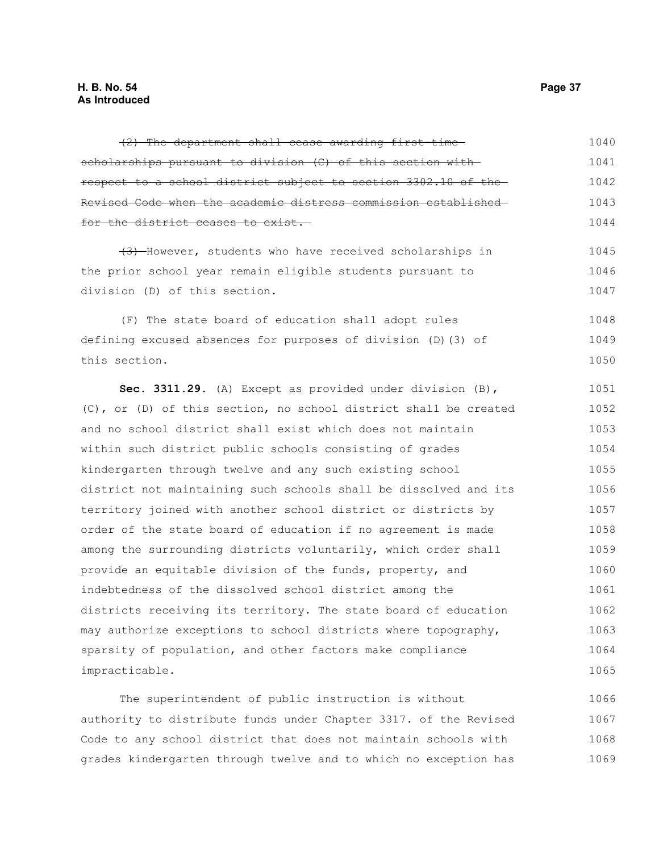| (2) The department shall cease awarding first-time-              | 1040 |
|------------------------------------------------------------------|------|
| scholarships pursuant to division (C) of this section with-      | 1041 |
| respect to a school district subject to section 3302.10 of the   | 1042 |
| Revised Code when the academic distress commission established-  | 1043 |
| for the district ceases to exist.                                | 1044 |
| (3) However, students who have received scholarships in          | 1045 |
| the prior school year remain eligible students pursuant to       | 1046 |
| division (D) of this section.                                    | 1047 |
| (F) The state board of education shall adopt rules               | 1048 |
| defining excused absences for purposes of division (D) (3) of    | 1049 |
| this section.                                                    | 1050 |
| Sec. 3311.29. (A) Except as provided under division (B),         | 1051 |
| (C), or (D) of this section, no school district shall be created | 1052 |
| and no school district shall exist which does not maintain       | 1053 |
| within such district public schools consisting of grades         | 1054 |
| kindergarten through twelve and any such existing school         | 1055 |
| district not maintaining such schools shall be dissolved and its | 1056 |
| territory joined with another school district or districts by    | 1057 |
| order of the state board of education if no agreement is made    | 1058 |
| among the surrounding districts voluntarily, which order shall   | 1059 |
| provide an equitable division of the funds, property, and        | 1060 |
| indebtedness of the dissolved school district among the          | 1061 |
| districts receiving its territory. The state board of education  | 1062 |
| may authorize exceptions to school districts where topography,   | 1063 |
| sparsity of population, and other factors make compliance        | 1064 |
| impracticable.                                                   | 1065 |
|                                                                  |      |

The superintendent of public instruction is without authority to distribute funds under Chapter 3317. of the Revised Code to any school district that does not maintain schools with grades kindergarten through twelve and to which no exception has 1066 1067 1068 1069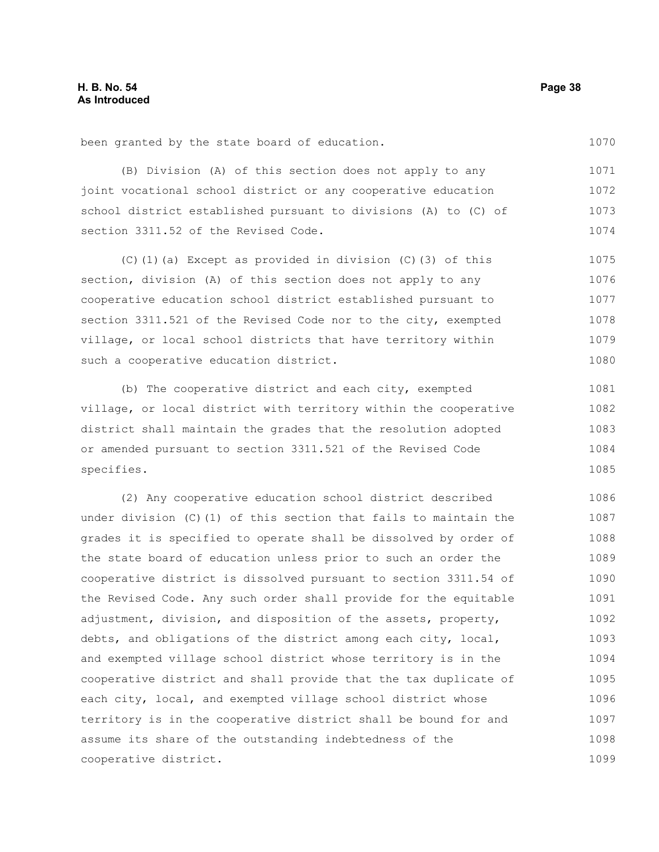been granted by the state board of education.

(B) Division (A) of this section does not apply to any joint vocational school district or any cooperative education school district established pursuant to divisions (A) to (C) of section 3311.52 of the Revised Code. 1071 1072 1073 1074

(C)(1)(a) Except as provided in division (C)(3) of this section, division (A) of this section does not apply to any cooperative education school district established pursuant to section 3311.521 of the Revised Code nor to the city, exempted village, or local school districts that have territory within such a cooperative education district. 1075 1076 1077 1078 1079 1080

(b) The cooperative district and each city, exempted village, or local district with territory within the cooperative district shall maintain the grades that the resolution adopted or amended pursuant to section 3311.521 of the Revised Code specifies. 1081 1082 1083 1084 1085

(2) Any cooperative education school district described under division (C)(1) of this section that fails to maintain the grades it is specified to operate shall be dissolved by order of the state board of education unless prior to such an order the cooperative district is dissolved pursuant to section 3311.54 of the Revised Code. Any such order shall provide for the equitable adjustment, division, and disposition of the assets, property, debts, and obligations of the district among each city, local, and exempted village school district whose territory is in the cooperative district and shall provide that the tax duplicate of each city, local, and exempted village school district whose territory is in the cooperative district shall be bound for and assume its share of the outstanding indebtedness of the cooperative district. 1086 1087 1088 1089 1090 1091 1092 1093 1094 1095 1096 1097 1098 1099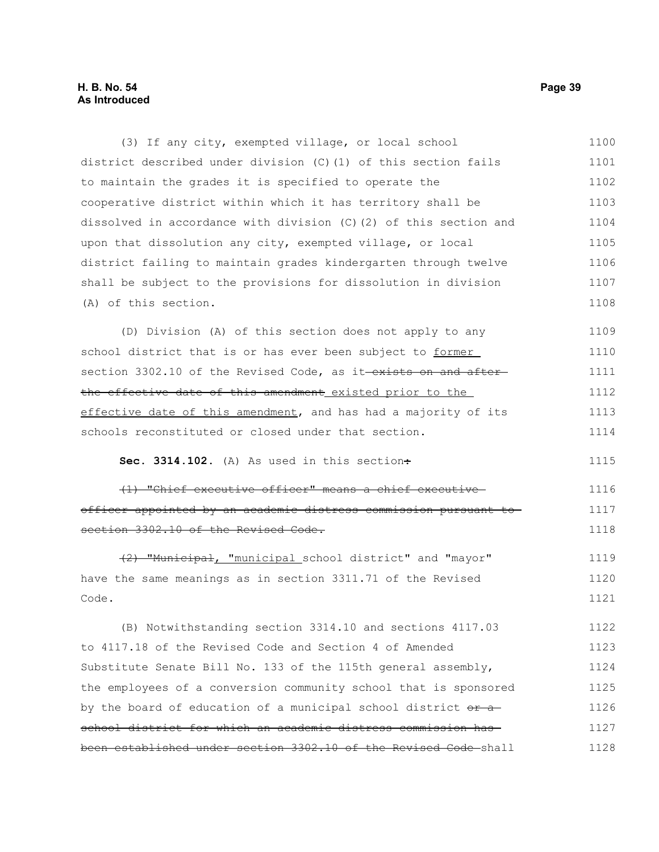# **H. B. No. 54 Page 39 As Introduced**

(3) If any city, exempted village, or local school district described under division (C)(1) of this section fails to maintain the grades it is specified to operate the cooperative district within which it has territory shall be dissolved in accordance with division (C)(2) of this section and upon that dissolution any city, exempted village, or local district failing to maintain grades kindergarten through twelve shall be subject to the provisions for dissolution in division (A) of this section. (D) Division (A) of this section does not apply to any school district that is or has ever been subject to former section 3302.10 of the Revised Code, as it-exists on and afterthe effective date of this amendment existed prior to the effective date of this amendment, and has had a majority of its schools reconstituted or closed under that section. Sec. 3314.102. (A) As used in this section÷ (1) "Chief executive officer" means a chief executive officer appointed by an academic distress commission pursuant to section 3302.10 of the Revised Code. (2) "Municipal, "municipal school district" and "mayor" have the same meanings as in section 3311.71 of the Revised Code. (B) Notwithstanding section 3314.10 and sections 4117.03 to 4117.18 of the Revised Code and Section 4 of Amended Substitute Senate Bill No. 133 of the 115th general assembly, the employees of a conversion community school that is sponsored by the board of education of a municipal school district  $o$ r aschool district for which an academic distress commission has 1100 1101 1102 1103 1104 1105 1106 1107 1108 1109 1110 1111 1112 1113 1114 1115 1116 1117 1118 1119 1120 1121 1122 1123 1124 1125 1126 1127

been established under section 3302.10 of the Revised Code shall 1128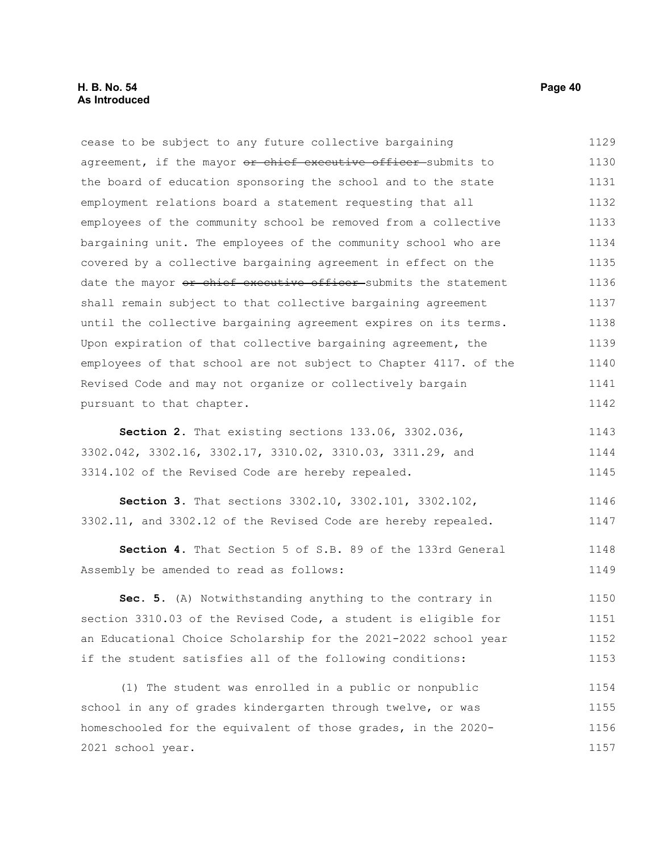cease to be subject to any future collective bargaining agreement, if the mayor or chief executive officer-submits to the board of education sponsoring the school and to the state employment relations board a statement requesting that all employees of the community school be removed from a collective bargaining unit. The employees of the community school who are covered by a collective bargaining agreement in effect on the date the mayor or chief executive officer submits the statement shall remain subject to that collective bargaining agreement until the collective bargaining agreement expires on its terms. Upon expiration of that collective bargaining agreement, the employees of that school are not subject to Chapter 4117. of the Revised Code and may not organize or collectively bargain pursuant to that chapter. 1129 1130 1131 1132 1133 1134 1135 1136 1137 1138 1139 1140 1141 1142

**Section 2.** That existing sections 133.06, 3302.036, 3302.042, 3302.16, 3302.17, 3310.02, 3310.03, 3311.29, and 3314.102 of the Revised Code are hereby repealed. 1143 1144 1145

**Section 3.** That sections 3302.10, 3302.101, 3302.102, 3302.11, and 3302.12 of the Revised Code are hereby repealed. 1146 1147

**Section 4.** That Section 5 of S.B. 89 of the 133rd General Assembly be amended to read as follows: 1148 1149

**Sec. 5.** (A) Notwithstanding anything to the contrary in section 3310.03 of the Revised Code, a student is eligible for an Educational Choice Scholarship for the 2021-2022 school year if the student satisfies all of the following conditions: 1150 1151 1152 1153

(1) The student was enrolled in a public or nonpublic school in any of grades kindergarten through twelve, or was homeschooled for the equivalent of those grades, in the 2020- 2021 school year. 1154 1155 1156 1157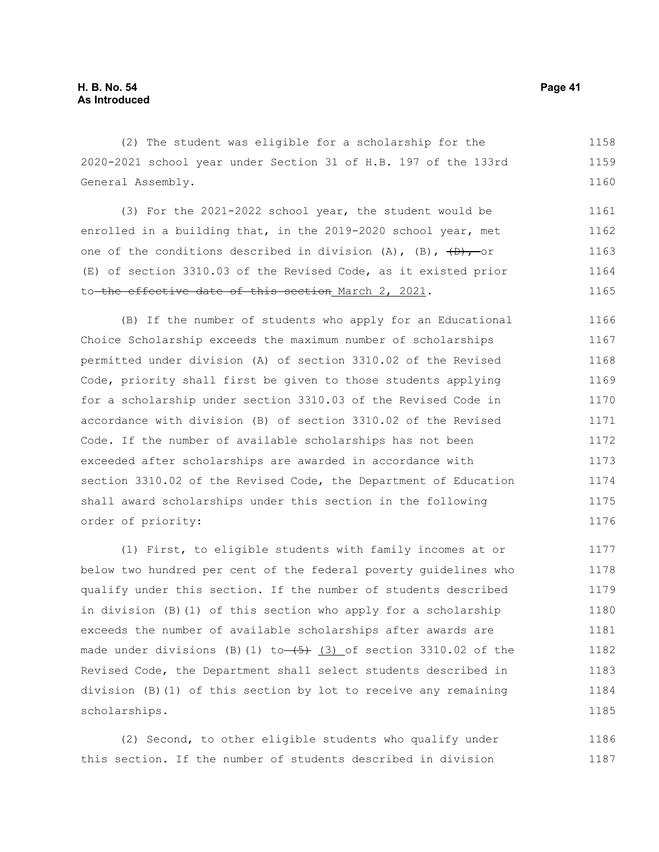(2) The student was eligible for a scholarship for the 2020-2021 school year under Section 31 of H.B. 197 of the 133rd General Assembly. 1158 1159 1160

(3) For the 2021-2022 school year, the student would be enrolled in a building that, in the 2019-2020 school year, met one of the conditions described in division (A), (B),  $\overline{(B)}$ , or (E) of section 3310.03 of the Revised Code, as it existed prior to the effective date of this section March 2, 2021. 1161 1162 1163 1164 1165

(B) If the number of students who apply for an Educational Choice Scholarship exceeds the maximum number of scholarships permitted under division (A) of section 3310.02 of the Revised Code, priority shall first be given to those students applying for a scholarship under section 3310.03 of the Revised Code in accordance with division (B) of section 3310.02 of the Revised Code. If the number of available scholarships has not been exceeded after scholarships are awarded in accordance with section 3310.02 of the Revised Code, the Department of Education shall award scholarships under this section in the following order of priority: 1166 1167 1168 1169 1170 1171 1172 1173 1174 1175 1176

(1) First, to eligible students with family incomes at or below two hundred per cent of the federal poverty guidelines who qualify under this section. If the number of students described in division (B)(1) of this section who apply for a scholarship exceeds the number of available scholarships after awards are made under divisions (B)(1) to  $(5)$  (3) of section 3310.02 of the Revised Code, the Department shall select students described in division (B)(1) of this section by lot to receive any remaining scholarships. 1177 1178 1179 1180 1181 1182 1183 1184 1185

(2) Second, to other eligible students who qualify under this section. If the number of students described in division 1186 1187